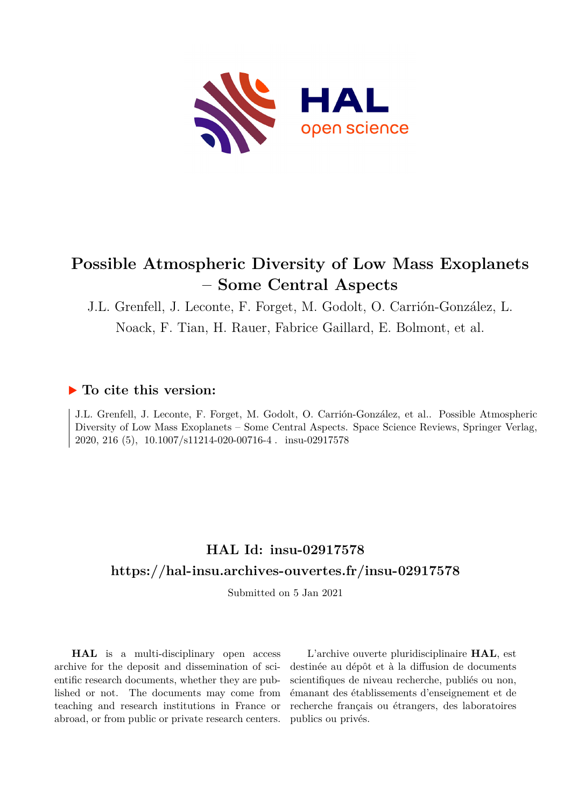

# **Possible Atmospheric Diversity of Low Mass Exoplanets – Some Central Aspects**

J.L. Grenfell, J. Leconte, F. Forget, M. Godolt, O. Carrión-González, L. Noack, F. Tian, H. Rauer, Fabrice Gaillard, E. Bolmont, et al.

# **To cite this version:**

J.L. Grenfell, J. Leconte, F. Forget, M. Godolt, O. Carrión-González, et al.. Possible Atmospheric Diversity of Low Mass Exoplanets – Some Central Aspects. Space Science Reviews, Springer Verlag, 2020, 216 (5), 10.1007/s11214-020-00716-4 . insu-02917578

# **HAL Id: insu-02917578 <https://hal-insu.archives-ouvertes.fr/insu-02917578>**

Submitted on 5 Jan 2021

**HAL** is a multi-disciplinary open access archive for the deposit and dissemination of scientific research documents, whether they are published or not. The documents may come from teaching and research institutions in France or abroad, or from public or private research centers.

L'archive ouverte pluridisciplinaire **HAL**, est destinée au dépôt et à la diffusion de documents scientifiques de niveau recherche, publiés ou non, émanant des établissements d'enseignement et de recherche français ou étrangers, des laboratoires publics ou privés.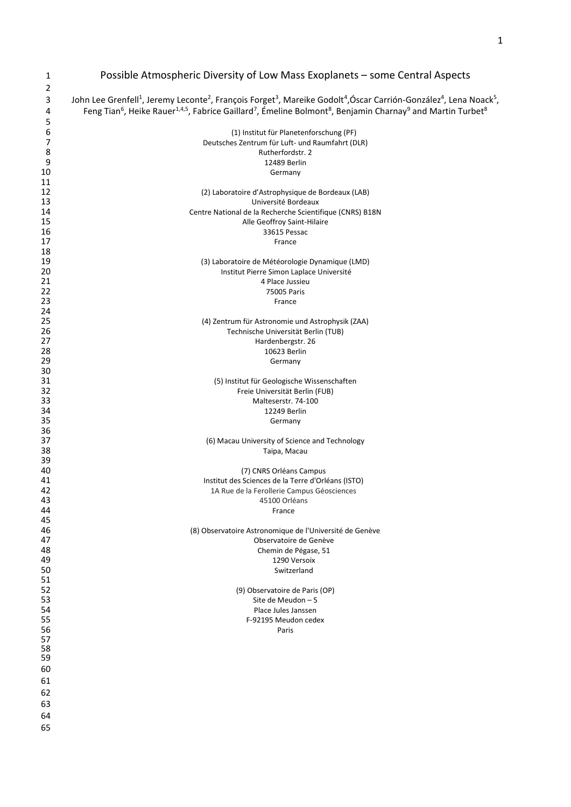## Possible Atmospheric Diversity of Low Mass Exoplanets – some Central Aspects

3 John Lee Grenfell<sup>1</sup>, Jeremy Leconte<sup>2</sup>, François Forget<sup>3</sup>, Mareike Godolt<sup>4</sup>,Óscar Carrión-González<sup>4</sup>, Lena Noack<sup>5</sup>, 4 Feng Tian<sup>6</sup>, Heike Rauer<sup>1,4,5</sup>, Fabrice Gaillard<sup>7</sup>, Émeline Bolmont<sup>8</sup>, Benjamin Charnay<sup>9</sup> and Martin Turbet<sup>8</sup>

 $\begin{array}{c} 2 \\ 3 \end{array}$ 

| 5              |                                                                                                  |
|----------------|--------------------------------------------------------------------------------------------------|
| 6              | (1) Institut für Planetenforschung (PF)                                                          |
| $\overline{7}$ | Deutsches Zentrum für Luft- und Raumfahrt (DLR)                                                  |
| 8              | Rutherfordstr. 2                                                                                 |
| 9              | 12489 Berlin                                                                                     |
| 10             | Germany                                                                                          |
| 11             |                                                                                                  |
| 12             | (2) Laboratoire d'Astrophysique de Bordeaux (LAB)                                                |
| 13             | Université Bordeaux                                                                              |
| 14             | Centre National de la Recherche Scientifique (CNRS) B18N                                         |
| 15             | Alle Geoffroy Saint-Hilaire                                                                      |
| 16             | 33615 Pessac                                                                                     |
| 17             | France                                                                                           |
| 18             |                                                                                                  |
| 19             |                                                                                                  |
|                | (3) Laboratoire de Météorologie Dynamique (LMD)                                                  |
| 20             | Institut Pierre Simon Laplace Université                                                         |
| 21             | 4 Place Jussieu                                                                                  |
| 22             | 75005 Paris                                                                                      |
| 23             | France                                                                                           |
| 24             |                                                                                                  |
| 25             | (4) Zentrum für Astronomie und Astrophysik (ZAA)                                                 |
| 26             | Technische Universität Berlin (TUB)                                                              |
| 27             | Hardenbergstr. 26                                                                                |
| 28             | 10623 Berlin                                                                                     |
| 29             | Germany                                                                                          |
| 30             |                                                                                                  |
| 31             | (5) Institut für Geologische Wissenschaften                                                      |
| 32             | Freie Universität Berlin (FUB)                                                                   |
| 33             | Malteserstr. 74-100                                                                              |
| 34             | 12249 Berlin                                                                                     |
| 35             | Germany                                                                                          |
| 36             |                                                                                                  |
| 37             | (6) Macau University of Science and Technology                                                   |
| 38             | Taipa, Macau                                                                                     |
| 39             |                                                                                                  |
| 40             |                                                                                                  |
| 41             | (7) CNRS Orléans Campus                                                                          |
| 42             | Institut des Sciences de la Terre d'Orléans (ISTO)<br>1A Rue de la Ferollerie Campus Géosciences |
| 43             |                                                                                                  |
|                | 45100 Orléans                                                                                    |
| 44             | France                                                                                           |
| 45             |                                                                                                  |
| 46             | (8) Observatoire Astronomique de l'Université de Genève                                          |
| 47             | Observatoire de Genève                                                                           |
| 48             | Chemin de Pégase, 51                                                                             |
| 49             | 1290 Versoix                                                                                     |
| 50             | Switzerland                                                                                      |
| 51             |                                                                                                  |
| 52             | (9) Observatoire de Paris (OP)                                                                   |
| 53             | Site de Meudon - 5                                                                               |
| 54             | Place Jules Janssen                                                                              |
| 55             | F-92195 Meudon cedex                                                                             |
| 56             | Paris                                                                                            |
| 57             |                                                                                                  |
| 58             |                                                                                                  |
| 59             |                                                                                                  |
| 60             |                                                                                                  |
| 61             |                                                                                                  |
|                |                                                                                                  |
| 62             |                                                                                                  |
| 63             |                                                                                                  |
| 64             |                                                                                                  |
| 65             |                                                                                                  |
|                |                                                                                                  |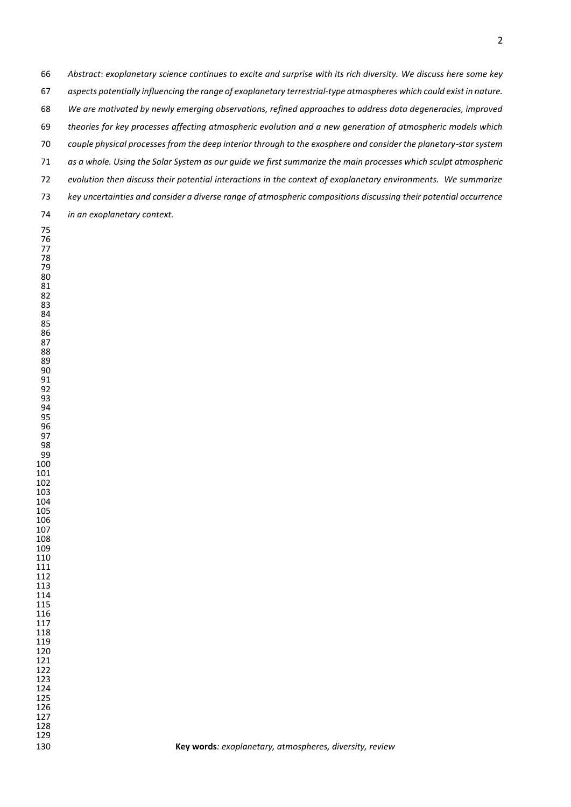*Abstract*: *exoplanetary science continues to excite and surprise with its rich diversity. We discuss here some key aspects potentially influencing the range of exoplanetary terrestrial-type atmospheres which could exist in nature. We are motivated by newly emerging observations, refined approaches to address data degeneracies, improved theories for key processes affecting atmospheric evolution and a new generation of atmospheric models which couple physical processes from the deep interior through to the exosphere and consider the planetary-star system as a whole. Using the Solar System as our guide we first summarize the main processes which sculpt atmospheric evolution then discuss their potential interactions in the context of exoplanetary environments. We summarize key uncertainties and consider a diverse range of atmospheric compositions discussing their potential occurrence* 

*in an exoplanetary context.*

**Key words***: exoplanetary, atmospheres, diversity, review*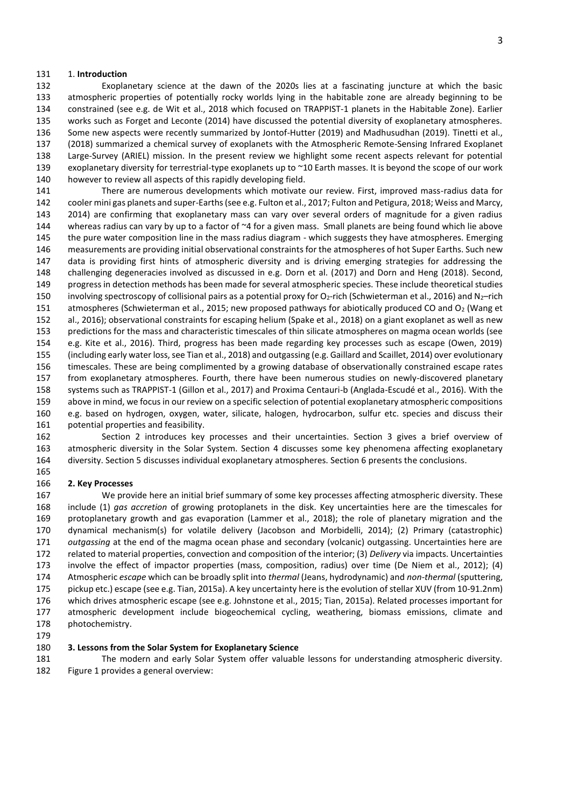#### 1. **Introduction**

 Exoplanetary science at the dawn of the 2020s lies at a fascinating juncture at which the basic atmospheric properties of potentially rocky worlds lying in the habitable zone are already beginning to be constrained (see e.g. de Wit et al., 2018 which focused on TRAPPIST-1 planets in the Habitable Zone). Earlier works such as Forget and Leconte (2014) have discussed the potential diversity of exoplanetary atmospheres. Some new aspects were recently summarized by Jontof-Hutter (2019) and Madhusudhan (2019). Tinetti et al., (2018) summarized a chemical survey of exoplanets with the Atmospheric Remote-Sensing Infrared Exoplanet Large-Survey (ARIEL) mission. In the present review we highlight some recent aspects relevant for potential 139 exoplanetary diversity for terrestrial-type exoplanets up to ~10 Earth masses. It is beyond the scope of our work however to review all aspects of this rapidly developing field.

 There are numerous developments which motivate our review. First, improved mass-radius data for cooler mini gas planets and super-Earths (see e.g. Fulton et al., 2017; Fulton and Petigura, 2018; Weiss and Marcy, 2014) are confirming that exoplanetary mass can vary over several orders of magnitude for a given radius whereas radius can vary by up to a factor of ~4 for a given mass. Small planets are being found which lie above the pure water composition line in the mass radius diagram - which suggests they have atmospheres. Emerging measurements are providing initial observational constraints for the atmospheres of hot Super Earths. Such new data is providing first hints of atmospheric diversity and is driving emerging strategies for addressing the challenging degeneracies involved as discussed in e.g. Dorn et al. (2017) and Dorn and Heng (2018). Second, progress in detection methods has been made for several atmospheric species. These include theoretical studies 150 involving spectroscopy of collisional pairs as a potential proxy for O<sub>2</sub>-rich (Schwieterman et al., 2016) and N<sub>2</sub>-rich atmospheres (Schwieterman et al., 2015; new proposed pathways for abiotically produced CO and O<sup>2</sup> (Wang et al., 2016); observational constraints for escaping helium (Spake et al., 2018) on a giant exoplanet as well as new predictions for the mass and characteristic timescales of thin silicate atmospheres on magma ocean worlds (see e.g. Kite et al., 2016). Third, progress has been made regarding key processes such as escape (Owen, 2019) (including early water loss, see Tian et al., 2018) and outgassing (e.g. Gaillard and Scaillet, 2014) over evolutionary timescales. These are being complimented by a growing database of observationally constrained escape rates from exoplanetary atmospheres. Fourth, there have been numerous studies on newly-discovered planetary systems such as TRAPPIST-1 (Gillon et al., 2017) and Proxima Centauri-b (Anglada-Escudé et al., 2016). With the above in mind, we focus in our review on a specific selection of potential exoplanetary atmospheric compositions e.g. based on hydrogen, oxygen, water, silicate, halogen, hydrocarbon, sulfur etc. species and discuss their potential properties and feasibility.

 Section 2 introduces key processes and their uncertainties. Section 3 gives a brief overview of atmospheric diversity in the Solar System. Section 4 discusses some key phenomena affecting exoplanetary diversity. Section 5 discusses individual exoplanetary atmospheres. Section 6 presents the conclusions.

#### **2. Key Processes**

 We provide here an initial brief summary of some key processes affecting atmospheric diversity. These include (1) *gas accretion* of growing protoplanets in the disk. Key uncertainties here are the timescales for protoplanetary growth and gas evaporation (Lammer et al., 2018); the role of planetary migration and the dynamical mechanism(s) for volatile delivery (Jacobson and Morbidelli, 2014); (2) Primary (catastrophic) *outgassing* at the end of the magma ocean phase and secondary (volcanic) outgassing. Uncertainties here are related to material properties, convection and composition of the interior; (3) *Delivery* via impacts. Uncertainties involve the effect of impactor properties (mass, composition, radius) over time (De Niem et al., 2012); (4) Atmospheric *escape* which can be broadly split into *thermal* (Jeans, hydrodynamic) and *non-thermal* (sputtering, pickup etc.) escape (see e.g. Tian, 2015a). A key uncertainty here is the evolution of stellar XUV (from 10-91.2nm) which drives atmospheric escape (see e.g. Johnstone et al., 2015; Tian, 2015a). Related processes important for atmospheric development include biogeochemical cycling, weathering, biomass emissions, climate and photochemistry.

#### **3. Lessons from the Solar System for Exoplanetary Science**

 The modern and early Solar System offer valuable lessons for understanding atmospheric diversity. Figure 1 provides a general overview: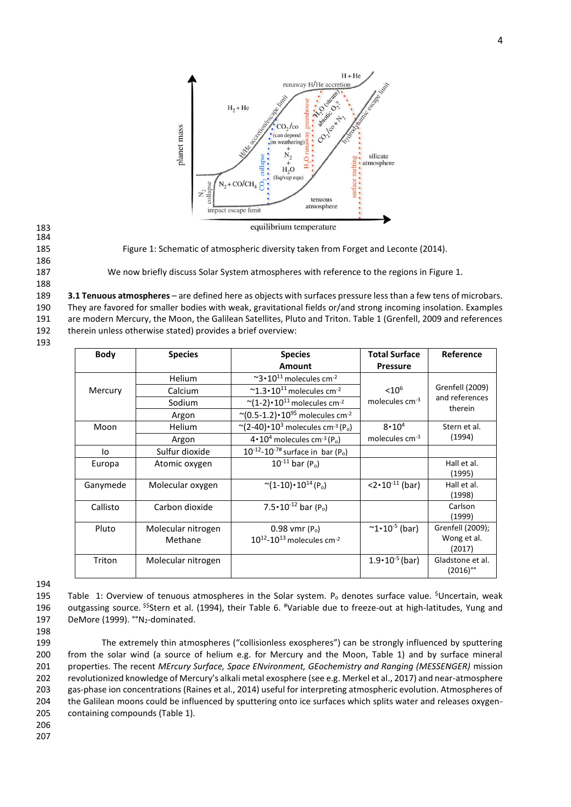

183 184

185 Figure 1: Schematic of atmospheric diversity taken from Forget and Leconte (2014).

186

187 We now briefly discuss Solar System atmospheres with reference to the regions in Figure 1.

188 **3.1 Tenuous atmospheres** – are defined here as objects with surfaces pressure less than a few tens of microbars. They are favored for smaller bodies with weak, gravitational fields or/and strong incoming insolation. Examples are modern Mercury, the Moon, the Galilean Satellites, Pluto and Triton. Table 1 (Grenfell, 2009 and references therein unless otherwise stated) provides a brief overview:

193

| <b>Body</b> | <b>Species</b>                                                                               | <b>Species</b><br><b>Amount</b>                                  | <b>Total Surface</b><br><b>Pressure</b> | Reference                                    |  |
|-------------|----------------------------------------------------------------------------------------------|------------------------------------------------------------------|-----------------------------------------|----------------------------------------------|--|
|             | Helium                                                                                       | $\sim$ 3•10 <sup>11</sup> molecules cm <sup>-2</sup>             |                                         |                                              |  |
| Mercury     | Calcium                                                                                      | $\sim$ 1.3 $\cdot$ 10 <sup>11</sup> molecules cm <sup>-2</sup>   | $< 10^{6}$                              | Grenfell (2009)<br>and references<br>therein |  |
|             | Sodium                                                                                       | $\sim$ (1-2) $\cdot$ 10 <sup>11</sup> molecules cm <sup>-2</sup> | molecules cm-3                          |                                              |  |
|             | Argon                                                                                        | $\sim$ (0.5-1.2) • 10 <sup>9\$</sup> molecules cm <sup>-2</sup>  |                                         |                                              |  |
| Moon        | $\sim$ (2-40) $\cdot$ 10 <sup>3</sup> molecules cm <sup>-3</sup> (P <sub>o</sub> )<br>Helium |                                                                  | $8 \cdot 10^{4}$                        | Stern et al.                                 |  |
|             | Argon                                                                                        | $4 \cdot 10^4$ molecules cm <sup>-3</sup> (P <sub>o</sub> )      | molecules cm-3                          | (1994)                                       |  |
| lo          | Sulfur dioxide                                                                               | $10^{-12} - 10^{-7}$ # surface in bar (P <sub>o</sub> )          |                                         |                                              |  |
| Europa      | Atomic oxygen                                                                                | $10^{-11}$ bar (P <sub>o</sub> )                                 |                                         | Hall et al.                                  |  |
|             |                                                                                              |                                                                  |                                         | (1995)                                       |  |
| Ganymede    | Molecular oxygen                                                                             | $\sim$ (1-10) $\cdot$ 10 <sup>14</sup> (P <sub>o</sub> )         | $<$ 2 $\cdot$ 10 <sup>-11</sup> (bar)   | Hall et al.                                  |  |
|             |                                                                                              |                                                                  |                                         | (1998)                                       |  |
| Callisto    | Carbon dioxide                                                                               | 7.5 $\cdot$ 10 <sup>-12</sup> bar (P <sub>o</sub> )              |                                         | Carlson                                      |  |
|             |                                                                                              |                                                                  |                                         | (1999)                                       |  |
| Pluto       | Molecular nitrogen                                                                           | 0.98 vmr $(P_0)$                                                 | $~10^{-5}$ (bar)                        | Grenfell (2009);                             |  |
|             | Methane                                                                                      | $10^{12} - 10^{13}$ molecules cm <sup>-2</sup>                   |                                         | Wong et al.                                  |  |
|             |                                                                                              |                                                                  |                                         | (2017)                                       |  |
| Triton      | Molecular nitrogen                                                                           |                                                                  | $1.9 \cdot 10^{-5}$ (bar)               | Gladstone et al.                             |  |
|             |                                                                                              |                                                                  |                                         | $(2016)$ °°                                  |  |

194

195 Table 1: Overview of tenuous atmospheres in the Solar system. P<sub>o</sub> denotes surface value. <sup>\$</sup>Uncertain, weak 196 outgassing source. <sup>\$\$</sup>Stern et al. (1994), their Table 6. <sup>#</sup>Variable due to freeze-out at high-latitudes, Yung and 197 DeMore (1999). °°N<sub>2</sub>-dominated.

198

 The extremely thin atmospheres ("collisionless exospheres") can be strongly influenced by sputtering from the solar wind (a source of helium e.g. for Mercury and the Moon, Table 1) and by surface mineral properties. The recent *MErcury Surface, Space ENvironment, GEochemistry and Ranging (MESSENGER)* mission revolutionized knowledge of Mercury's alkali metal exosphere (see e.g. Merkel et al., 2017) and near-atmosphere gas-phase ion concentrations (Raines et al., 2014) useful for interpreting atmospheric evolution. Atmospheres of the Galilean moons could be influenced by sputtering onto ice surfaces which splits water and releases oxygen-containing compounds (Table 1).

206 207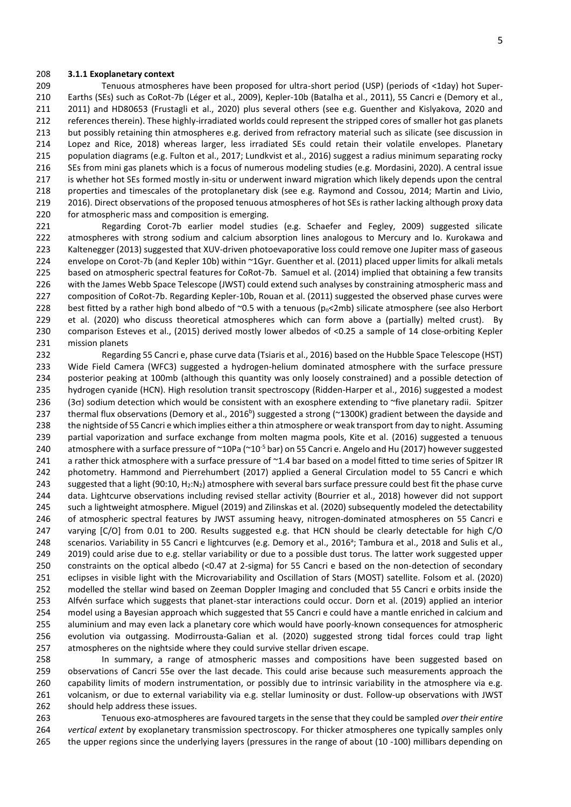#### **3.1.1 Exoplanetary context**

 Tenuous atmospheres have been proposed for ultra-short period (USP) (periods of <1day) hot Super- Earths (SEs) such as CoRot-7b (Léger et al., 2009), Kepler-10b (Batalha et al., 2011), 55 Cancri e (Demory et al., 2011) and HD80653 (Frustagli et al., 2020) plus several others (see e.g. Guenther and Kislyakova, 2020 and references therein). These highly-irradiated worlds could represent the stripped cores of smaller hot gas planets but possibly retaining thin atmospheres e.g. derived from refractory material such as silicate (see discussion in Lopez and Rice, 2018) whereas larger, less irradiated SEs could retain their volatile envelopes. Planetary population diagrams (e.g. Fulton et al., 2017; Lundkvist et al., 2016) suggest a radius minimum separating rocky SEs from mini gas planets which is a focus of numerous modeling studies (e.g. Mordasini, 2020). A central issue is whether hot SEs formed mostly in-situ or underwent inward migration which likely depends upon the central properties and timescales of the protoplanetary disk (see e.g. Raymond and Cossou, 2014; Martin and Livio, 2016). Direct observations of the proposed tenuous atmospheres of hot SEs is rather lacking although proxy data for atmospheric mass and composition is emerging.

 Regarding Corot-7b earlier model studies (e.g. Schaefer and Fegley, 2009) suggested silicate atmospheres with strong sodium and calcium absorption lines analogous to Mercury and Io. Kurokawa and Kaltenegger (2013) suggested that XUV-driven photoevaporative loss could remove one Jupiter mass of gaseous 224 envelope on Corot-7b (and Kepler 10b) within ~1Gyr. Guenther et al. (2011) placed upper limits for alkali metals based on atmospheric spectral features for CoRot-7b. Samuel et al. (2014) implied that obtaining a few transits with the James Webb Space Telescope (JWST) could extend such analyses by constraining atmospheric mass and composition of CoRot-7b. Regarding Kepler-10b, Rouan et al. (2011) suggested the observed phase curves were 228 best fitted by a rather high bond albedo of ~0.5 with a tenuous ( $p_0$ <2mb) silicate atmosphere (see also Herbort et al. (2020) who discuss theoretical atmospheres which can form above a (partially) melted crust). By comparison Esteves et al., (2015) derived mostly lower albedos of <0.25 a sample of 14 close-orbiting Kepler mission planets

 Regarding 55 Cancri e, phase curve data (Tsiaris et al., 2016) based on the Hubble Space Telescope (HST) Wide Field Camera (WFC3) suggested a hydrogen-helium dominated atmosphere with the surface pressure posterior peaking at 100mb (although this quantity was only loosely constrained) and a possible detection of hydrogen cyanide (HCN). High resolution transit spectroscopy (Ridden-Harper et al., 2016) suggested a modest (3 $\sigma$ ) sodium detection which would be consistent with an exosphere extending to ~five planetary radii. Spitzer 237 thermal flux observations (Demory et al., 2016<sup>b</sup>) suggested a strong (~1300K) gradient between the dayside and the nightside of 55 Cancri e which implies either a thin atmosphere or weak transport from day to night. Assuming partial vaporization and surface exchange from molten magma pools, Kite et al. (2016) suggested a tenuous 240 atmosphere with a surface pressure of  $\sim$ 10Pa ( $\sim$ 10<sup>-5</sup> bar) on 55 Cancri e. Angelo and Hu (2017) however suggested 241 a rather thick atmosphere with a surface pressure of  $\sim$ 1.4 bar based on a model fitted to time series of Spitzer IR photometry. Hammond and Pierrehumbert (2017) applied a General Circulation model to 55 Cancri e which 243 suggested that a light (90:10,  $H_2:N_2$ ) atmosphere with several bars surface pressure could best fit the phase curve data. Lightcurve observations including revised stellar activity (Bourrier et al., 2018) however did not support such a lightweight atmosphere. Miguel (2019) and Zilinskas et al. (2020) subsequently modeled the detectability of atmospheric spectral features by JWST assuming heavy, nitrogen-dominated atmospheres on 55 Cancri e varying [C/O] from 0.01 to 200. Results suggested e.g. that HCN should be clearly detectable for high C/O 248 scenarios. Variability in 55 Cancri e lightcurves (e.g. Demory et al., 2016<sup>a</sup>; Tambura et al., 2018 and Sulis et al., 2019) could arise due to e.g. stellar variability or due to a possible dust torus. The latter work suggested upper constraints on the optical albedo (<0.47 at 2-sigma) for 55 Cancri e based on the non-detection of secondary eclipses in visible light with the Microvariability and Oscillation of Stars (MOST) satellite. Folsom et al. (2020) modelled the stellar wind based on Zeeman Doppler Imaging and concluded that 55 Cancri e orbits inside the Alfvén surface which suggests that planet-star interactions could occur. Dorn et al. (2019) applied an interior model using a Bayesian approach which suggested that 55 Cancri e could have a mantle enriched in calcium and aluminium and may even lack a planetary core which would have poorly-known consequences for atmospheric evolution via outgassing. Modirrousta-Galian et al. (2020) suggested strong tidal forces could trap light atmospheres on the nightside where they could survive stellar driven escape.

 In summary, a range of atmospheric masses and compositions have been suggested based on observations of Cancri 55e over the last decade. This could arise because such measurements approach the capability limits of modern instrumentation, or possibly due to intrinsic variability in the atmosphere via e.g. volcanism, or due to external variability via e.g. stellar luminosity or dust. Follow-up observations with JWST should help address these issues.

 Tenuous exo-atmospheres are favoured targets in the sense that they could be sampled *over their entire vertical extent* by exoplanetary transmission spectroscopy. For thicker atmospheres one typically samples only the upper regions since the underlying layers (pressures in the range of about (10 -100) millibars depending on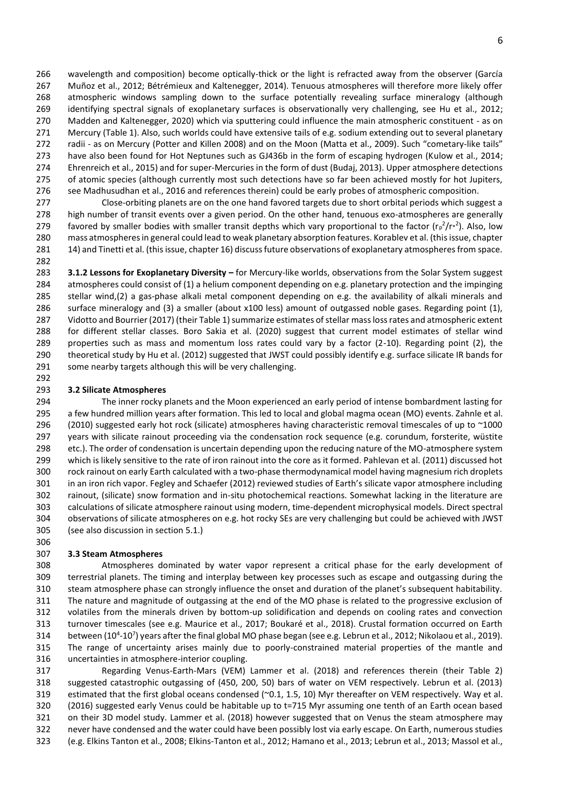wavelength and composition) become optically-thick or the light is refracted away from the observer (García Muñoz et al., 2012; Bétrémieux and Kaltenegger, 2014). Tenuous atmospheres will therefore more likely offer atmospheric windows sampling down to the surface potentially revealing surface mineralogy (although identifying spectral signals of exoplanetary surfaces is observationally very challenging, see Hu et al., 2012; Madden and Kaltenegger, 2020) which via sputtering could influence the main atmospheric constituent - as on Mercury (Table 1). Also, such worlds could have extensive tails of e.g. sodium extending out to several planetary radii - as on Mercury (Potter and Killen 2008) and on the Moon (Matta et al., 2009). Such "cometary-like tails" have also been found for Hot Neptunes such as GJ436b in the form of escaping hydrogen (Kulow et al., 2014; Ehrenreich et al., 2015) and for super-Mercuries in the form of dust (Budaj, 2013). Upper atmosphere detections 275 of atomic species (although currently most such detections have so far been achieved mostly for hot Jupiters, see Madhusudhan et al., 2016 and references therein) could be early probes of atmospheric composition.

 Close-orbiting planets are on the one hand favored targets due to short orbital periods which suggest a high number of transit events over a given period. On the other hand, tenuous exo-atmospheres are generally 279 favored by smaller bodies with smaller transit depths which vary proportional to the factor ( $r_p^2/r*^2$ ). Also, low mass atmospheres in general could lead to weak planetary absorption features. Korablev et al. (this issue, chapter 14) and Tinetti et al. (this issue, chapter 16) discuss future observations of exoplanetary atmospheres from space. 

 **3.1.2 Lessons for Exoplanetary Diversity –** for Mercury-like worlds, observations from the Solar System suggest atmospheres could consist of (1) a helium component depending on e.g. planetary protection and the impinging stellar wind,(2) a gas-phase alkali metal component depending on e.g. the availability of alkali minerals and surface mineralogy and (3) a smaller (about x100 less) amount of outgassed noble gases. Regarding point (1), Vidotto and Bourrier (2017) (their Table 1) summarize estimates of stellar mass loss rates and atmospheric extent for different stellar classes. Boro Sakia et al. (2020) suggest that current model estimates of stellar wind properties such as mass and momentum loss rates could vary by a factor (2-10). Regarding point (2), the theoretical study by Hu et al. (2012) suggested that JWST could possibly identify e.g. surface silicate IR bands for 291 some nearby targets although this will be very challenging.

#### **3.2 Silicate Atmospheres**

 The inner rocky planets and the Moon experienced an early period of intense bombardment lasting for a few hundred million years after formation. This led to local and global magma ocean (MO) events. Zahnle et al. 296 (2010) suggested early hot rock (silicate) atmospheres having characteristic removal timescales of up to  $\sim$ 1000 years with silicate rainout proceeding via the condensation rock sequence (e.g. corundum, forsterite, wüstite etc.). The order of condensation is uncertain depending upon the reducing nature of the MO-atmosphere system which is likely sensitive to the rate of iron rainout into the core as it formed. Pahlevan et al. (2011) discussed hot rock rainout on early Earth calculated with a two-phase thermodynamical model having magnesium rich droplets in an iron rich vapor. Fegley and Schaefer (2012) reviewed studies of Earth's silicate vapor atmosphere including rainout, (silicate) snow formation and in-situ photochemical reactions. Somewhat lacking in the literature are calculations of silicate atmosphere rainout using modern, time-dependent microphysical models. Direct spectral observations of silicate atmospheres on e.g. hot rocky SEs are very challenging but could be achieved with JWST (see also discussion in section 5.1.)

## **3.3 Steam Atmospheres**

 Atmospheres dominated by water vapor represent a critical phase for the early development of terrestrial planets. The timing and interplay between key processes such as escape and outgassing during the steam atmosphere phase can strongly influence the onset and duration of the planet's subsequent habitability. The nature and magnitude of outgassing at the end of the MO phase is related to the progressive exclusion of volatiles from the minerals driven by bottom-up solidification and depends on cooling rates and convection turnover timescales (see e.g. Maurice et al., 2017; Boukaré et al., 2018). Crustal formation occurred on Earth 314 between (10<sup>4</sup>-10<sup>7</sup>) years after the final global MO phase began (see e.g. Lebrun et al., 2012; Nikolaou et al., 2019). The range of uncertainty arises mainly due to poorly-constrained material properties of the mantle and uncertainties in atmosphere-interior coupling.

 Regarding Venus-Earth-Mars (VEM) Lammer et al. (2018) and references therein (their Table 2) suggested catastrophic outgassing of (450, 200, 50) bars of water on VEM respectively. Lebrun et al. (2013) estimated that the first global oceans condensed (~0.1, 1.5, 10) Myr thereafter on VEM respectively. Way et al. (2016) suggested early Venus could be habitable up to t=715 Myr assuming one tenth of an Earth ocean based on their 3D model study. Lammer et al. (2018) however suggested that on Venus the steam atmosphere may never have condensed and the water could have been possibly lost via early escape. On Earth, numerous studies (e.g. Elkins Tanton et al., 2008; Elkins-Tanton et al., 2012; Hamano et al., 2013; Lebrun et al., 2013; Massol et al.,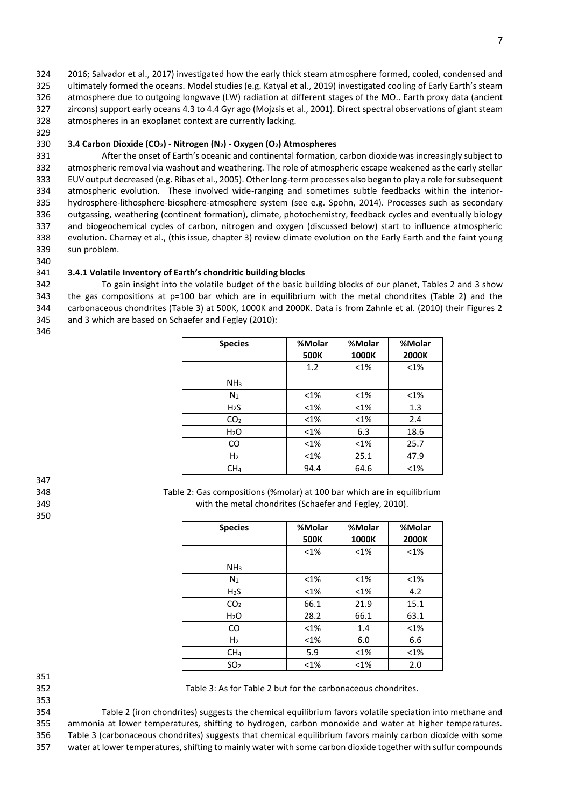2016; Salvador et al., 2017) investigated how the early thick steam atmosphere formed, cooled, condensed and ultimately formed the oceans. Model studies (e.g. Katyal et al., 2019) investigated cooling of Early Earth's steam atmosphere due to outgoing longwave (LW) radiation at different stages of the MO.. Earth proxy data (ancient zircons) support early oceans 4.3 to 4.4 Gyr ago (Mojzsis et al., 2001). Direct spectral observations of giant steam atmospheres in an exoplanet context are currently lacking.

329

## 330 **3.4 Carbon Dioxide (CO2) - Nitrogen (N2) - Oxygen (O2) Atmospheres**

 After the onset of Earth's oceanic and continental formation, carbon dioxide was increasingly subject to atmospheric removal via washout and weathering. The role of atmospheric escape weakened as the early stellar EUV output decreased (e.g. Ribas et al., 2005). Other long-term processes also began to play a role for subsequent atmospheric evolution. These involved wide-ranging and sometimes subtle feedbacks within the interior- hydrosphere-lithosphere-biosphere-atmosphere system (see e.g. Spohn, 2014). Processes such as secondary outgassing, weathering (continent formation), climate, photochemistry, feedback cycles and eventually biology and biogeochemical cycles of carbon, nitrogen and oxygen (discussed below) start to influence atmospheric evolution. Charnay et al., (this issue, chapter 3) review climate evolution on the Early Earth and the faint young sun problem.

340

## 341 **3.4.1 Volatile Inventory of Earth's chondritic building blocks**

 To gain insight into the volatile budget of the basic building blocks of our planet, Tables 2 and 3 show the gas compositions at p=100 bar which are in equilibrium with the metal chondrites (Table 2) and the carbonaceous chondrites (Table 3) at 500K, 1000K and 2000K. Data is from Zahnle et al. (2010) their Figures 2 and 3 which are based on Schaefer and Fegley (2010):

346

| <b>Species</b>   | %Molar      | %Molar  | %Molar  |
|------------------|-------------|---------|---------|
|                  | <b>500K</b> | 1000K   | 2000K   |
|                  | 1.2         | $< 1\%$ | $< 1\%$ |
| NH <sub>3</sub>  |             |         |         |
| N <sub>2</sub>   | $< 1\%$     | $< 1\%$ | $< 1\%$ |
| H <sub>2</sub> S | $< 1\%$     | $< 1\%$ | 1.3     |
| CO <sub>2</sub>  | $< 1\%$     | $< 1\%$ | 2.4     |
| H <sub>2</sub> O | $< 1\%$     | 6.3     | 18.6    |
| CO.              | $< 1\%$     | $< 1\%$ | 25.7    |
| H <sub>2</sub>   | $< 1\%$     | 25.1    | 47.9    |
| CH <sub>4</sub>  | 94.4        | 64.6    | <1%     |

347

350

348 Table 2: Gas compositions (%molar) at 100 bar which are in equilibrium 349 with the metal chondrites (Schaefer and Fegley, 2010).

| <b>Species</b>  | %Molar<br><b>500K</b> | %Molar<br>1000K | %Molar<br>2000K |
|-----------------|-----------------------|-----------------|-----------------|
|                 | $< 1\%$               | $< 1\%$         | $< 1\%$         |
| NH <sub>3</sub> |                       |                 |                 |
| N <sub>2</sub>  | $< 1\%$               | $< 1\%$         | $< 1\%$         |
| $H_2S$          | $< 1\%$               | $< 1\%$         | 4.2             |
| CO <sub>2</sub> | 66.1                  | 21.9            | 15.1            |
| $H_2O$          | 28.2                  | 66.1            | 63.1            |
| CO              | $< 1\%$               | 1.4             | $< 1\%$         |
| H <sub>2</sub>  | $< 1\%$               | 6.0             | 6.6             |
| CH <sub>4</sub> | 5.9                   | $< 1\%$         | $< 1\%$         |
| SO <sub>2</sub> | $< 1\%$               | $< 1\%$         | 2.0             |

351

353

352 Table 3: As for Table 2 but for the carbonaceous chondrites.

 Table 2 (iron chondrites) suggests the chemical equilibrium favors volatile speciation into methane and ammonia at lower temperatures, shifting to hydrogen, carbon monoxide and water at higher temperatures. Table 3 (carbonaceous chondrites) suggests that chemical equilibrium favors mainly carbon dioxide with some water at lower temperatures, shifting to mainly water with some carbon dioxide together with sulfur compounds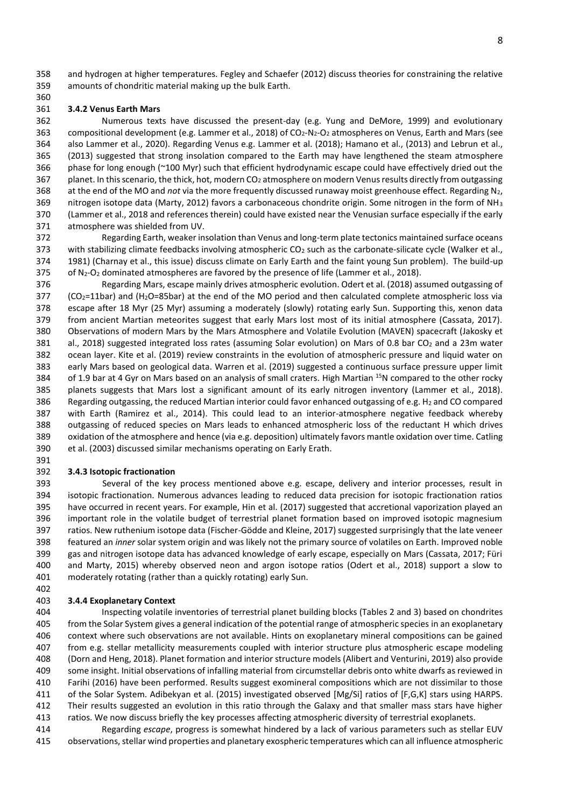and hydrogen at higher temperatures. Fegley and Schaefer (2012) discuss theories for constraining the relative amounts of chondritic material making up the bulk Earth.

#### **3.4.2 Venus Earth Mars**

 Numerous texts have discussed the present-day (e.g. Yung and DeMore, 1999) and evolutionary 363 compositional development (e.g. Lammer et al., 2018) of CO<sub>2</sub>-N<sub>2</sub>-O<sub>2</sub> atmospheres on Venus, Earth and Mars (see also Lammer et al., 2020). Regarding Venus e.g. Lammer et al. (2018); Hamano et al., (2013) and Lebrun et al., (2013) suggested that strong insolation compared to the Earth may have lengthened the steam atmosphere 366 phase for long enough (~100 Myr) such that efficient hydrodynamic escape could have effectively dried out the 367 planet. In this scenario, the thick, hot, modern  $CO<sub>2</sub>$  atmosphere on modern Venus results directly from outgassing at the end of the MO and *not* via the more frequently discussed runaway moist greenhouse effect. Regarding N2, nitrogen isotope data (Marty, 2012) favors a carbonaceous chondrite origin. Some nitrogen in the form of NH<sup>3</sup> (Lammer et al., 2018 and references therein) could have existed near the Venusian surface especially if the early atmosphere was shielded from UV.

 Regarding Earth, weaker insolation than Venus and long-term plate tectonics maintained surface oceans 373 with stabilizing climate feedbacks involving atmospheric CO<sub>2</sub> such as the carbonate-silicate cycle (Walker et al., 1981) (Charnay et al., this issue) discuss climate on Early Earth and the faint young Sun problem). The build-up of N2-O<sup>2</sup> dominated atmospheres are favored by the presence of life (Lammer et al., 2018).

 Regarding Mars, escape mainly drives atmospheric evolution. Odert et al. (2018) assumed outgassing of (CO<sub>2</sub>=11bar) and (H<sub>2</sub>O=85bar) at the end of the MO period and then calculated complete atmospheric loss via escape after 18 Myr (25 Myr) assuming a moderately (slowly) rotating early Sun. Supporting this, xenon data from ancient Martian meteorites suggest that early Mars lost most of its initial atmosphere (Cassata, 2017). Observations of modern Mars by the Mars Atmosphere and Volatile Evolution (MAVEN) spacecraft (Jakosky et al., 2018) suggested integrated loss rates (assuming Solar evolution) on Mars of 0.8 bar CO<sup>2</sup> and a 23m water ocean layer. Kite et al. (2019) review constraints in the evolution of atmospheric pressure and liquid water on early Mars based on geological data. Warren et al. (2019) suggested a continuous surface pressure upper limit 384 of 1.9 bar at 4 Gyr on Mars based on an analysis of small craters. High Martian <sup>15</sup>N compared to the other rocky planets suggests that Mars lost a significant amount of its early nitrogen inventory (Lammer et al., 2018). 386 Regarding outgassing, the reduced Martian interior could favor enhanced outgassing of e.g. H<sub>2</sub> and CO compared with Earth (Ramirez et al., 2014). This could lead to an interior-atmosphere negative feedback whereby outgassing of reduced species on Mars leads to enhanced atmospheric loss of the reductant H which drives oxidation of the atmosphere and hence (via e.g. deposition) ultimately favors mantle oxidation over time. Catling et al. (2003) discussed similar mechanisms operating on Early Erath.

## 

#### **3.4.3 Isotopic fractionation**

 Several of the key process mentioned above e.g. escape, delivery and interior processes, result in isotopic fractionation. Numerous advances leading to reduced data precision for isotopic fractionation ratios have occurred in recent years. For example, Hin et al. (2017) suggested that accretional vaporization played an important role in the volatile budget of terrestrial planet formation based on improved isotopic magnesium ratios. New ruthenium isotope data (Fischer-Gödde and Kleine, 2017) suggested surprisingly that the late veneer featured an *inner* solar system origin and was likely not the primary source of volatiles on Earth. Improved noble gas and nitrogen isotope data has advanced knowledge of early escape, especially on Mars (Cassata, 2017; Füri and Marty, 2015) whereby observed neon and argon isotope ratios (Odert et al., 2018) support a slow to moderately rotating (rather than a quickly rotating) early Sun.

#### **3.4.4 Exoplanetary Context**

 Inspecting volatile inventories of terrestrial planet building blocks (Tables 2 and 3) based on chondrites from the Solar System gives a general indication of the potential range of atmospheric species in an exoplanetary context where such observations are not available. Hints on exoplanetary mineral compositions can be gained from e.g. stellar metallicity measurements coupled with interior structure plus atmospheric escape modeling (Dorn and Heng, 2018). Planet formation and interior structure models (Alibert and Venturini, 2019) also provide some insight. Initial observations of infalling material from circumstellar debris onto white dwarfs as reviewed in Farihi (2016) have been performed. Results suggest exomineral compositions which are not dissimilar to those of the Solar System. Adibekyan et al. (2015) investigated observed [Mg/Si] ratios of [F,G,K] stars using HARPS. Their results suggested an evolution in this ratio through the Galaxy and that smaller mass stars have higher ratios. We now discuss briefly the key processes affecting atmospheric diversity of terrestrial exoplanets.

 Regarding *escape*, progress is somewhat hindered by a lack of various parameters such as stellar EUV observations, stellar wind properties and planetary exospheric temperatures which can all influence atmospheric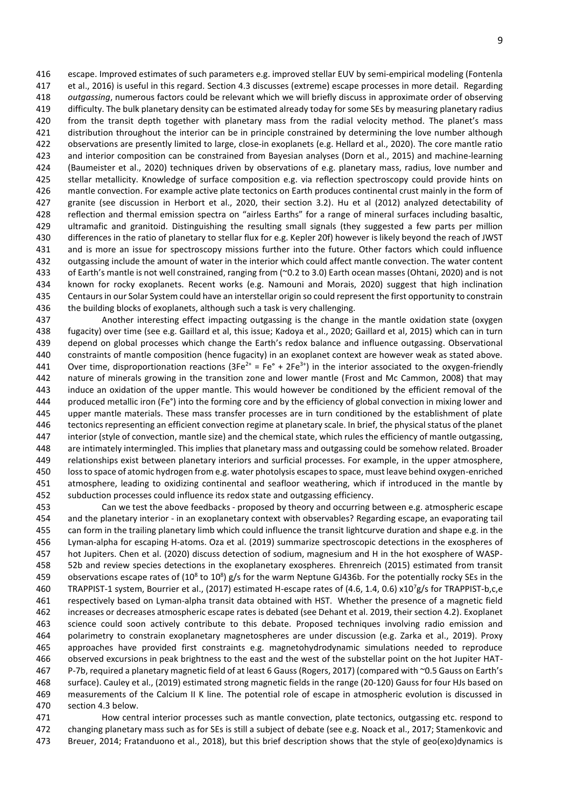escape. Improved estimates of such parameters e.g. improved stellar EUV by semi-empirical modeling (Fontenla et al., 2016) is useful in this regard. Section 4.3 discusses (extreme) escape processes in more detail. Regarding *outgassing*, numerous factors could be relevant which we will briefly discuss in approximate order of observing difficulty. The bulk planetary density can be estimated already today for some SEs by measuring planetary radius 420 from the transit depth together with planetary mass from the radial velocity method. The planet's mass 421 distribution throughout the interior can be in principle constrained by determining the love number although observations are presently limited to large, close-in exoplanets (e.g. Hellard et al., 2020). The core mantle ratio and interior composition can be constrained from Bayesian analyses (Dorn et al., 2015) and machine-learning (Baumeister et al., 2020) techniques driven by observations of e.g. planetary mass, radius, love number and stellar metallicity. Knowledge of surface composition e.g. via reflection spectroscopy could provide hints on mantle convection. For example active plate tectonics on Earth produces continental crust mainly in the form of granite (see discussion in Herbort et al., 2020, their section 3.2). Hu et al (2012) analyzed detectability of reflection and thermal emission spectra on "airless Earths" for a range of mineral surfaces including basaltic, ultramafic and granitoid. Distinguishing the resulting small signals (they suggested a few parts per million differences in the ratio of planetary to stellar flux for e.g. Kepler 20f) however is likely beyond the reach of JWST and is more an issue for spectroscopy missions further into the future. Other factors which could influence outgassing include the amount of water in the interior which could affect mantle convection. The water content of Earth's mantle is not well constrained, ranging from (~0.2 to 3.0) Earth ocean masses (Ohtani, 2020) and is not known for rocky exoplanets. Recent works (e.g. Namouni and Morais, 2020) suggest that high inclination Centaurs in our Solar System could have an interstellar origin so could represent the first opportunity to constrain 436 the building blocks of exoplanets, although such a task is very challenging.

 Another interesting effect impacting outgassing is the change in the mantle oxidation state (oxygen fugacity) over time (see e.g. Gaillard et al, this issue; Kadoya et al., 2020; Gaillard et al, 2015) which can in turn depend on global processes which change the Earth's redox balance and influence outgassing. Observational constraints of mantle composition (hence fugacity) in an exoplanet context are however weak as stated above. Over time, disproportionation reactions (3Fe<sup>2+</sup> = Fe<sup>o</sup> + 2Fe<sup>3+</sup>) in the interior associated to the oxygen-friendly nature of minerals growing in the transition zone and lower mantle (Frost and Mc Cammon, 2008) that may induce an oxidation of the upper mantle. This would however be conditioned by the efficient removal of the produced metallic iron (Fe°) into the forming core and by the efficiency of global convection in mixing lower and upper mantle materials. These mass transfer processes are in turn conditioned by the establishment of plate tectonics representing an efficient convection regime at planetary scale. In brief, the physical status of the planet interior (style of convection, mantle size) and the chemical state, which rules the efficiency of mantle outgassing, are intimately intermingled. This implies that planetary mass and outgassing could be somehow related. Broader relationships exist between planetary interiors and surficial processes. For example, in the upper atmosphere, loss to space of atomic hydrogen from e.g. water photolysis escapes to space, must leave behind oxygen-enriched atmosphere, leading to oxidizing continental and seafloor weathering, which if introduced in the mantle by subduction processes could influence its redox state and outgassing efficiency.

 Can we test the above feedbacks - proposed by theory and occurring between e.g. atmospheric escape and the planetary interior - in an exoplanetary context with observables? Regarding escape, an evaporating tail can form in the trailing planetary limb which could influence the transit lightcurve duration and shape e.g. in the Lyman-alpha for escaping H-atoms. Oza et al. (2019) summarize spectroscopic detections in the exospheres of hot Jupiters. Chen et al. (2020) discuss detection of sodium, magnesium and H in the hot exosphere of WASP- 52b and review species detections in the exoplanetary exospheres. Ehrenreich (2015) estimated from transit 459 observations escape rates of (10<sup>8</sup> to 10<sup>8</sup>) g/s for the warm Neptune GJ436b. For the potentially rocky SEs in the 460 TRAPPIST-1 system, Bourrier et al., (2017) estimated H-escape rates of (4.6, 1.4, 0.6) x10<sup>7</sup>g/s for TRAPPIST-b,c,e respectively based on Lyman-alpha transit data obtained with HST. Whether the presence of a magnetic field increases or decreases atmospheric escape rates is debated (see Dehant et al. 2019, their section 4.2). Exoplanet science could soon actively contribute to this debate. Proposed techniques involving radio emission and polarimetry to constrain exoplanetary magnetospheres are under discussion (e.g. Zarka et al., 2019). Proxy approaches have provided first constraints e.g. magnetohydrodynamic simulations needed to reproduce observed excursions in peak brightness to the east and the west of the substellar point on the hot Jupiter HAT- P-7b, required a planetary magnetic field of at least 6 Gauss (Rogers, 2017) (compared with ~0.5 Gauss on Earth's surface). Cauley et al., (2019) estimated strong magnetic fields in the range (20-120) Gauss for four HJs based on measurements of the Calcium II K line. The potential role of escape in atmospheric evolution is discussed in section 4.3 below.

 How central interior processes such as mantle convection, plate tectonics, outgassing etc. respond to changing planetary mass such as for SEs is still a subject of debate (see e.g. Noack et al., 2017; Stamenkovic and Breuer, 2014; Fratanduono et al., 2018), but this brief description shows that the style of geo(exo)dynamics is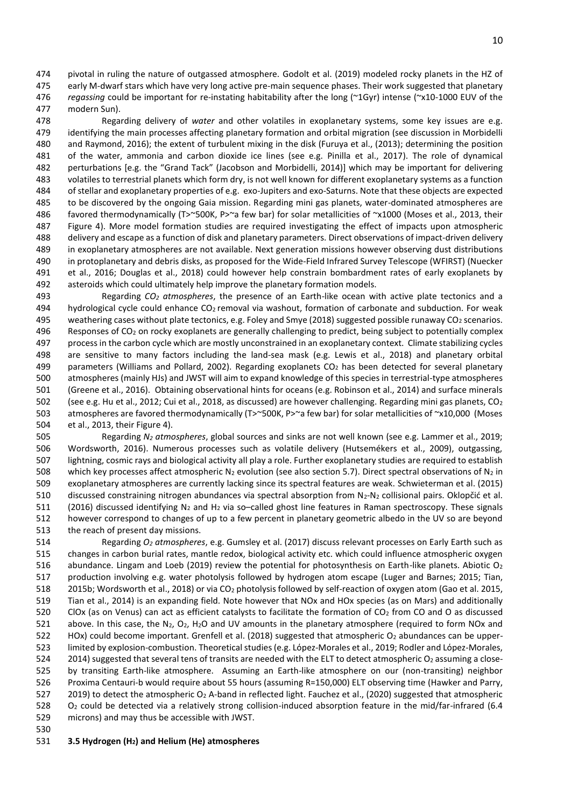pivotal in ruling the nature of outgassed atmosphere. Godolt et al. (2019) modeled rocky planets in the HZ of early M-dwarf stars which have very long active pre-main sequence phases. Their work suggested that planetary *regassing* could be important for re-instating habitability after the long (~1Gyr) intense (~x10-1000 EUV of the modern Sun).

 Regarding delivery of *water* and other volatiles in exoplanetary systems, some key issues are e.g. identifying the main processes affecting planetary formation and orbital migration (see discussion in Morbidelli and Raymond, 2016); the extent of turbulent mixing in the disk (Furuya et al., (2013); determining the position of the water, ammonia and carbon dioxide ice lines (see e.g. Pinilla et al., 2017). The role of dynamical perturbations [e.g. the "Grand Tack" (Jacobson and Morbidelli, 2014)] which may be important for delivering volatiles to terrestrial planets which form dry, is not well known for different exoplanetary systems as a function of stellar and exoplanetary properties of e.g. exo-Jupiters and exo-Saturns. Note that these objects are expected to be discovered by the ongoing Gaia mission. Regarding mini gas planets, water-dominated atmospheres are favored thermodynamically (T>~500K, P>~a few bar) for solar metallicities of ~x1000 (Moses et al., 2013, their Figure 4). More model formation studies are required investigating the effect of impacts upon atmospheric delivery and escape as a function of disk and planetary parameters. Direct observations of impact-driven delivery in exoplanetary atmospheres are not available. Next generation missions however observing dust distributions in protoplanetary and debris disks, as proposed for the Wide-Field Infrared Survey Telescope (WFIRST) (Nuecker et al., 2016; Douglas et al., 2018) could however help constrain bombardment rates of early exoplanets by asteroids which could ultimately help improve the planetary formation models.

 Regarding *CO<sup>2</sup> atmospheres*, the presence of an Earth-like ocean with active plate tectonics and a hydrological cycle could enhance CO<sup>2</sup> removal via washout, formation of carbonate and subduction. For weak 495 weathering cases without plate tectonics, e.g. Foley and Smye (2018) suggested possible runaway  $CO<sub>2</sub>$  scenarios. Responses of CO<sup>2</sup> on rocky exoplanets are generally challenging to predict, being subject to potentially complex process in the carbon cycle which are mostly unconstrained in an exoplanetary context. Climate stabilizing cycles are sensitive to many factors including the land-sea mask (e.g. Lewis et al., 2018) and planetary orbital parameters (Williams and Pollard, 2002). Regarding exoplanets CO<sup>2</sup> has been detected for several planetary atmospheres (mainly HJs) and JWST will aim to expand knowledge of this species in terrestrial-type atmospheres (Greene et al., 2016). Obtaining observational hints for oceans (e.g. Robinson et al., 2014) and surface minerals 502 (see e.g. Hu et al., 2012; Cui et al., 2018, as discussed) are however challenging. Regarding mini gas planets,  $CO<sub>2</sub>$  atmospheres are favored thermodynamically (T>~500K, P>~a few bar) for solar metallicities of ~x10,000 (Moses et al., 2013, their Figure 4).

 Regarding *N<sup>2</sup> atmospheres*, global sources and sinks are not well known (see e.g. Lammer et al., 2019; Wordsworth, 2016). Numerous processes such as volatile delivery (Hutsemékers et al., 2009), outgassing, lightning, cosmic rays and biological activity all play a role. Further exoplanetary studies are required to establish 508 which key processes affect atmospheric N<sub>2</sub> evolution (see also section 5.7). Direct spectral observations of N<sub>2</sub> in exoplanetary atmospheres are currently lacking since its spectral features are weak. Schwieterman et al. (2015) discussed constraining nitrogen abundances via spectral absorption from N2-N<sup>2</sup> collisional pairs. Oklopčić et al. 511 (2016) discussed identifying  $N_2$  and  $H_2$  via so–called ghost line features in Raman spectroscopy. These signals however correspond to changes of up to a few percent in planetary geometric albedo in the UV so are beyond the reach of present day missions.

 Regarding *O<sup>2</sup> atmospheres*, e.g. Gumsley et al. (2017) discuss relevant processes on Early Earth such as changes in carbon burial rates, mantle redox, biological activity etc. which could influence atmospheric oxygen 516 abundance. Lingam and Loeb (2019) review the potential for photosynthesis on Earth-like planets. Abiotic  $O<sub>2</sub>$  production involving e.g. water photolysis followed by hydrogen atom escape (Luger and Barnes; 2015; Tian, 2015b; Wordsworth et al., 2018) or via CO<sup>2</sup> photolysis followed by self-reaction of oxygen atom (Gao et al. 2015, Tian et al., 2014) is an expanding field. Note however that NOx and HOx species (as on Mars) and additionally 520 ClOx (as on Venus) can act as efficient catalysts to facilitate the formation of CO<sub>2</sub> from CO and O as discussed 521 above. In this case, the N<sub>2</sub>, O<sub>2</sub>, H<sub>2</sub>O and UV amounts in the planetary atmosphere (required to form NOx and 522 HOx) could become important. Grenfell et al. (2018) suggested that atmospheric O<sub>2</sub> abundances can be upper- limited by explosion-combustion. Theoretical studies (e.g. Lόpez-Morales et al., 2019; Rodler and Lόpez-Morales, 524 2014) suggested that several tens of transits are needed with the ELT to detect atmospheric  $O_2$  assuming a close- by transiting Earth-like atmosphere. Assuming an Earth-like atmosphere on our (non-transiting) neighbor Proxima Centauri-b would require about 55 hours (assuming R=150,000) ELT observing time (Hawker and Parry, 527 2019) to detect the atmospheric O<sub>2</sub> A-band in reflected light. Fauchez et al., (2020) suggested that atmospheric O<sup>2</sup> could be detected via a relatively strong collision-induced absorption feature in the mid/far-infrared (6.4 microns) and may thus be accessible with JWST.

- 
- **3.5 Hydrogen (H2) and Helium (He) atmospheres**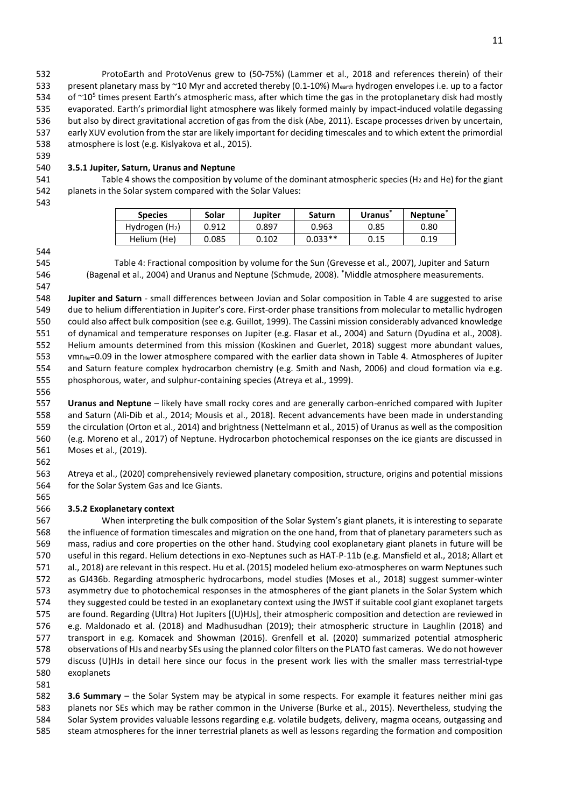ProtoEarth and ProtoVenus grew to (50-75%) (Lammer et al., 2018 and references therein) of their 533 present planetary mass by ~10 Myr and accreted thereby (0.1-10%) Mearth hydrogen envelopes i.e. up to a factor 534 of  $\sim$ 10<sup>5</sup> times present Earth's atmospheric mass, after which time the gas in the protoplanetary disk had mostly evaporated. Earth's primordial light atmosphere was likely formed mainly by impact-induced volatile degassing but also by direct gravitational accretion of gas from the disk (Abe, 2011). Escape processes driven by uncertain, early XUV evolution from the star are likely important for deciding timescales and to which extent the primordial atmosphere is lost (e.g. Kislyakova et al., 2015).

## 

## **3.5.1 Jupiter, Saturn, Uranus and Neptune**

541 Table 4 shows the composition by volume of the dominant atmospheric species (H<sub>2</sub> and He) for the giant planets in the Solar system compared with the Solar Values:

| <b>Species</b>  | Solar | <b>Jupiter</b> | Saturn    | <b>Uranus</b> | Neptune <sup>1</sup> |
|-----------------|-------|----------------|-----------|---------------|----------------------|
| Hydrogen $(H2)$ | 0.912 | 0.897          | 0.963     | 0.85          | 0.80                 |
| Helium (He)     | 0.085 | 0.102          | $0.033**$ | 0.15          | 0.19                 |

 Table 4: Fractional composition by volume for the Sun (Grevesse et al., 2007), Jupiter and Saturn (Bagenal et al., 2004) and Uranus and Neptune (Schmude, 2008). **\***Middle atmosphere measurements.

 **Jupiter and Saturn** - small differences between Jovian and Solar composition in Table 4 are suggested to arise due to helium differentiation in Jupiter's core. First-order phase transitions from molecular to metallic hydrogen could also affect bulk composition (see e.g. Guillot, 1999). The Cassini mission considerably advanced knowledge of dynamical and temperature responses on Jupiter (e.g. Flasar et al., 2004) and Saturn (Dyudina et al., 2008). Helium amounts determined from this mission (Koskinen and Guerlet, 2018) suggest more abundant values, 553 vmr<sub>He</sub>=0.09 in the lower atmosphere compared with the earlier data shown in Table 4. Atmospheres of Jupiter and Saturn feature complex hydrocarbon chemistry (e.g. Smith and Nash, 2006) and cloud formation via e.g. phosphorous, water, and sulphur-containing species (Atreya et al., 1999).

 **Uranus and Neptune** – likely have small rocky cores and are generally carbon-enriched compared with Jupiter and Saturn (Ali-Dib et al., 2014; Mousis et al., 2018). Recent advancements have been made in understanding the circulation (Orton et al., 2014) and brightness (Nettelmann et al., 2015) of Uranus as well as the composition (e.g. Moreno et al., 2017) of Neptune. Hydrocarbon photochemical responses on the ice giants are discussed in Moses et al., (2019).

 Atreya et al., (2020) comprehensively reviewed planetary composition, structure, origins and potential missions for the Solar System Gas and Ice Giants.

## **3.5.2 Exoplanetary context**

 When interpreting the bulk composition of the Solar System's giant planets, it is interesting to separate the influence of formation timescales and migration on the one hand, from that of planetary parameters such as mass, radius and core properties on the other hand. Studying cool exoplanetary giant planets in future will be useful in this regard. Helium detections in exo-Neptunes such as HAT-P-11b (e.g. Mansfield et al., 2018; Allart et al., 2018) are relevant in this respect. Hu et al. (2015) modeled helium exo-atmospheres on warm Neptunes such as GJ436b. Regarding atmospheric hydrocarbons, model studies (Moses et al., 2018) suggest summer-winter asymmetry due to photochemical responses in the atmospheres of the giant planets in the Solar System which they suggested could be tested in an exoplanetary context using the JWST if suitable cool giant exoplanet targets are found. Regarding (Ultra) Hot Jupiters [(U)HJs], their atmospheric composition and detection are reviewed in e.g. Maldonado et al. (2018) and Madhusudhan (2019); their atmospheric structure in Laughlin (2018) and transport in e.g. Komacek and Showman (2016). Grenfell et al. (2020) summarized potential atmospheric observations of HJs and nearby SEs using the planned color filters on the PLATO fast cameras. We do not however discuss (U)HJs in detail here since our focus in the present work lies with the smaller mass terrestrial-type exoplanets

 **3.6 Summary** – the Solar System may be atypical in some respects. For example it features neither mini gas planets nor SEs which may be rather common in the Universe (Burke et al., 2015). Nevertheless, studying the Solar System provides valuable lessons regarding e.g. volatile budgets, delivery, magma oceans, outgassing and steam atmospheres for the inner terrestrial planets as well as lessons regarding the formation and composition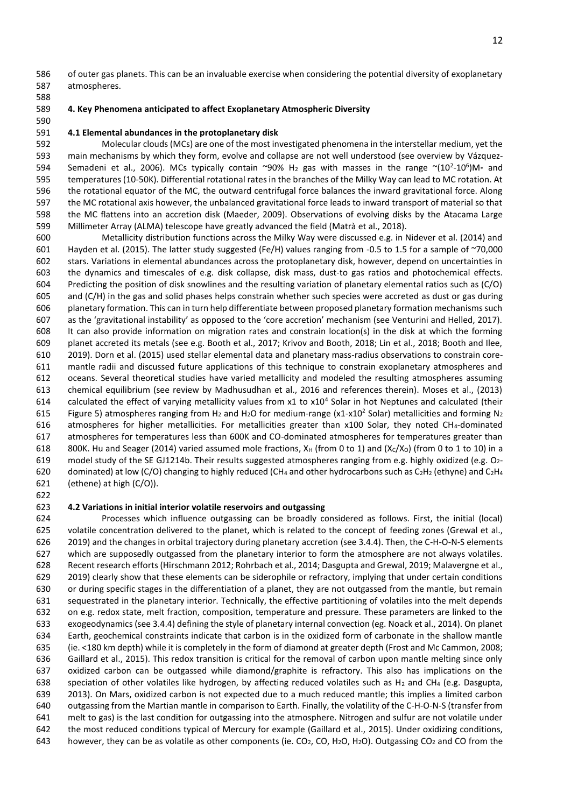of outer gas planets. This can be an invaluable exercise when considering the potential diversity of exoplanetary atmospheres.

#### **4. Key Phenomena anticipated to affect Exoplanetary Atmospheric Diversity**

#### **4.1 Elemental abundances in the protoplanetary disk**

 Molecular clouds (MCs) are one of the most investigated phenomena in the interstellar medium, yet the main mechanisms by which they form, evolve and collapse are not well understood (see overview by Vázquez-594 Semadeni et al., 2006). MCs typically contain ~90% H<sub>2</sub> gas with masses in the range  $\sim$ (10<sup>2</sup>-10<sup>6</sup>)M\* and temperatures (10-50K). Differential rotational rates in the branches of the Milky Way can lead to MC rotation. At the rotational equator of the MC, the outward centrifugal force balances the inward gravitational force. Along the MC rotational axis however, the unbalanced gravitational force leads to inward transport of material so that the MC flattens into an accretion disk (Maeder, 2009). Observations of evolving disks by the Atacama Large Millimeter Array (ALMA) telescope have greatly advanced the field (Matrà et al., 2018).

 Metallicity distribution functions across the Milky Way were discussed e.g. in Nidever et al. (2014) and Hayden et al. (2015). The latter study suggested (Fe/H) values ranging from -0.5 to 1.5 for a sample of ~70,000 stars. Variations in elemental abundances across the protoplanetary disk, however, depend on uncertainties in the dynamics and timescales of e.g. disk collapse, disk mass, dust-to gas ratios and photochemical effects. Predicting the position of disk snowlines and the resulting variation of planetary elemental ratios such as (C/O) and (C/H) in the gas and solid phases helps constrain whether such species were accreted as dust or gas during planetary formation. This can in turn help differentiate between proposed planetary formation mechanisms such as the 'gravitational instability' as opposed to the 'core accretion' mechanism (see Venturini and Helled, 2017). It can also provide information on migration rates and constrain location(s) in the disk at which the forming planet accreted its metals (see e.g. Booth et al., 2017; Krivov and Booth, 2018; Lin et al., 2018; Booth and Ilee, 2019). Dorn et al. (2015) used stellar elemental data and planetary mass-radius observations to constrain core- mantle radii and discussed future applications of this technique to constrain exoplanetary atmospheres and oceans. Several theoretical studies have varied metallicity and modeled the resulting atmospheres assuming chemical equilibrium (see review by Madhusudhan et al., 2016 and references therein). Moses et al., (2013) 614 calculated the effect of varying metallicity values from  $x1$  to  $x10<sup>4</sup>$  Solar in hot Neptunes and calculated (their 615 Figure 5) atmospheres ranging from H<sub>2</sub> and H<sub>2</sub>O for medium-range (x1-x10<sup>2</sup> Solar) metallicities and forming N<sub>2</sub> atmospheres for higher metallicities. For metallicities greater than x100 Solar, they noted CH4-dominated atmospheres for temperatures less than 600K and CO-dominated atmospheres for temperatures greater than 618 800K. Hu and Seager (2014) varied assumed mole fractions,  $X_H$  (from 0 to 1) and  $(X_C/X_O)$  (from 0 to 1 to 10) in a 619 model study of the SE GJ1214b. Their results suggested atmospheres ranging from e.g. highly oxidized (e.g. O2-620 dominated) at low (C/O) changing to highly reduced (CH<sub>4</sub> and other hydrocarbons such as C<sub>2</sub>H<sub>2</sub> (ethyne) and C<sub>2</sub>H<sub>4</sub> (ethene) at high (C/O)).

## 

#### **4.2 Variations in initial interior volatile reservoirs and outgassing**

 Processes which influence outgassing can be broadly considered as follows. First, the initial (local) volatile concentration delivered to the planet, which is related to the concept of feeding zones (Grewal et al., 2019) and the changes in orbital trajectory during planetary accretion (see 3.4.4). Then, the C-H-O-N-S elements which are supposedly outgassed from the planetary interior to form the atmosphere are not always volatiles. Recent research efforts (Hirschmann 2012; Rohrbach et al., 2014; Dasgupta and Grewal, 2019; Malavergne et al., 2019) clearly show that these elements can be siderophile or refractory, implying that under certain conditions or during specific stages in the differentiation of a planet, they are not outgassed from the mantle, but remain sequestrated in the planetary interior. Technically, the effective partitioning of volatiles into the melt depends on e.g. redox state, melt fraction, composition, temperature and pressure. These parameters are linked to the exogeodynamics (see 3.4.4) defining the style of planetary internal convection (eg. Noack et al., 2014). On planet Earth, geochemical constraints indicate that carbon is in the oxidized form of carbonate in the shallow mantle (ie. <180 km depth) while it is completely in the form of diamond at greater depth (Frost and Mc Cammon, 2008; Gaillard et al., 2015). This redox transition is critical for the removal of carbon upon mantle melting since only oxidized carbon can be outgassed while diamond/graphite is refractory. This also has implications on the 638 speciation of other volatiles like hydrogen, by affecting reduced volatiles such as H<sub>2</sub> and CH<sub>4</sub> (e.g. Dasgupta, 2013). On Mars, oxidized carbon is not expected due to a much reduced mantle; this implies a limited carbon outgassing from the Martian mantle in comparison to Earth. Finally, the volatility of the C-H-O-N-S (transfer from melt to gas) is the last condition for outgassing into the atmosphere. Nitrogen and sulfur are not volatile under the most reduced conditions typical of Mercury for example (Gaillard et al., 2015). Under oxidizing conditions, 643 however, they can be as volatile as other components (ie.  $CO<sub>2</sub>$ ,  $CO$ ,  $H<sub>2</sub>O$ ,  $H<sub>2</sub>O$ ). Outgassing  $CO<sub>2</sub>$  and CO from the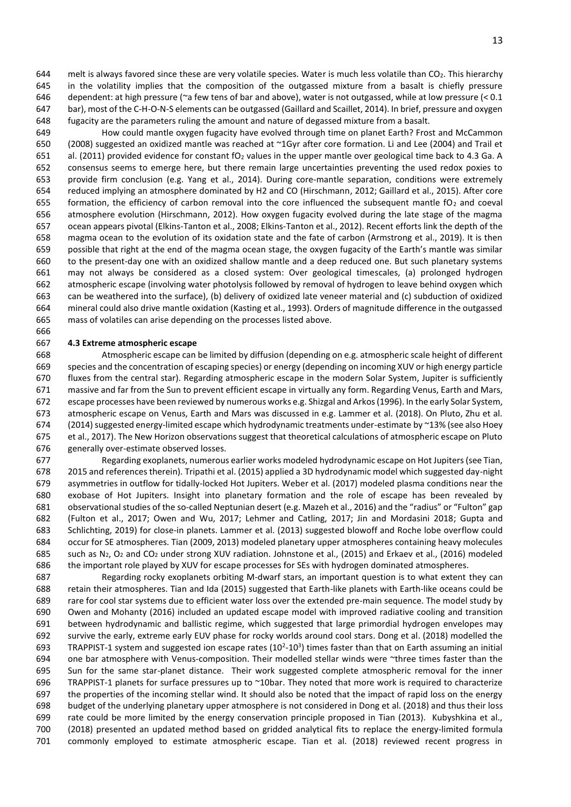644 melt is always favored since these are very volatile species. Water is much less volatile than  $CO<sub>2</sub>$ . This hierarchy in the volatility implies that the composition of the outgassed mixture from a basalt is chiefly pressure 646 dependent: at high pressure (~a few tens of bar and above), water is not outgassed, while at low pressure (< 0.1 bar), most of the C-H-O-N-S elements can be outgassed (Gaillard and Scaillet, 2014). In brief, pressure and oxygen fugacity are the parameters ruling the amount and nature of degassed mixture from a basalt.

 How could mantle oxygen fugacity have evolved through time on planet Earth? Frost and McCammon (2008) suggested an oxidized mantle was reached at ~1Gyr after core formation. Li and Lee (2004) and Trail et 651 al. (2011) provided evidence for constant fO<sub>2</sub> values in the upper mantle over geological time back to 4.3 Ga. A consensus seems to emerge here, but there remain large uncertainties preventing the used redox poxies to provide firm conclusion (e.g. Yang et al., 2014). During core-mantle separation, conditions were extremely reduced implying an atmosphere dominated by H2 and CO (Hirschmann, 2012; Gaillard et al., 2015). After core formation, the efficiency of carbon removal into the core influenced the subsequent mantle fO<sup>2</sup> and coeval atmosphere evolution (Hirschmann, 2012). How oxygen fugacity evolved during the late stage of the magma ocean appears pivotal (Elkins-Tanton et al., 2008; Elkins-Tanton et al., 2012). Recent efforts link the depth of the magma ocean to the evolution of its oxidation state and the fate of carbon (Armstrong et al., 2019). It is then possible that right at the end of the magma ocean stage, the oxygen fugacity of the Earth's mantle was similar to the present-day one with an oxidized shallow mantle and a deep reduced one. But such planetary systems may not always be considered as a closed system: Over geological timescales, (a) prolonged hydrogen atmospheric escape (involving water photolysis followed by removal of hydrogen to leave behind oxygen which can be weathered into the surface), (b) delivery of oxidized late veneer material and (c) subduction of oxidized mineral could also drive mantle oxidation (Kasting et al., 1993). Orders of magnitude difference in the outgassed mass of volatiles can arise depending on the processes listed above.

#### **4.3 Extreme atmospheric escape**

 Atmospheric escape can be limited by diffusion (depending on e.g. atmospheric scale height of different species and the concentration of escaping species) or energy (depending on incoming XUV or high energy particle fluxes from the central star). Regarding atmospheric escape in the modern Solar System, Jupiter is sufficiently massive and far from the Sun to prevent efficient escape in virtually any form. Regarding Venus, Earth and Mars, escape processes have been reviewed by numerous works e.g. Shizgal and Arkos (1996). In the early Solar System, atmospheric escape on Venus, Earth and Mars was discussed in e.g. Lammer et al. (2018). On Pluto, Zhu et al. (2014) suggested energy-limited escape which hydrodynamic treatments under-estimate by ~13% (see also Hoey et al., 2017). The New Horizon observations suggest that theoretical calculations of atmospheric escape on Pluto generally over-estimate observed losses.

 Regarding exoplanets, numerous earlier works modeled hydrodynamic escape on Hot Jupiters (see Tian, 2015 and references therein). Tripathi et al. (2015) applied a 3D hydrodynamic model which suggested day-night asymmetries in outflow for tidally-locked Hot Jupiters. Weber et al. (2017) modeled plasma conditions near the exobase of Hot Jupiters. Insight into planetary formation and the role of escape has been revealed by observational studies of the so-called Neptunian desert (e.g. Mazeh et al., 2016) and the "radius" or "Fulton" gap (Fulton et al., 2017; Owen and Wu, 2017; Lehmer and Catling, 2017; Jin and Mordasini 2018; Gupta and Schlichting, 2019) for close-in planets. Lammer et al. (2013) suggested blowoff and Roche lobe overflow could occur for SE atmospheres. Tian (2009, 2013) modeled planetary upper atmospheres containing heavy molecules such as N2, O<sup>2</sup> and CO<sup>2</sup> under strong XUV radiation. Johnstone et al., (2015) and Erkaev et al., (2016) modeled the important role played by XUV for escape processes for SEs with hydrogen dominated atmospheres.

 Regarding rocky exoplanets orbiting M-dwarf stars, an important question is to what extent they can retain their atmospheres. Tian and Ida (2015) suggested that Earth-like planets with Earth-like oceans could be rare for cool star systems due to efficient water loss over the extended pre-main sequence. The model study by Owen and Mohanty (2016) included an updated escape model with improved radiative cooling and transition between hydrodynamic and ballistic regime, which suggested that large primordial hydrogen envelopes may survive the early, extreme early EUV phase for rocky worlds around cool stars. Dong et al. (2018) modelled the 693 TRAPPIST-1 system and suggested ion escape rates  $(10^2-10^3)$  times faster than that on Earth assuming an initial one bar atmosphere with Venus-composition. Their modelled stellar winds were ~three times faster than the Sun for the same star-planet distance. Their work suggested complete atmospheric removal for the inner 696 TRAPPIST-1 planets for surface pressures up to  $\sim$ 10bar. They noted that more work is required to characterize the properties of the incoming stellar wind. It should also be noted that the impact of rapid loss on the energy budget of the underlying planetary upper atmosphere is not considered in Dong et al. (2018) and thus their loss rate could be more limited by the energy conservation principle proposed in Tian (2013). Kubyshkina et al., (2018) presented an updated method based on gridded analytical fits to replace the energy-limited formula commonly employed to estimate atmospheric escape. Tian et al. (2018) reviewed recent progress in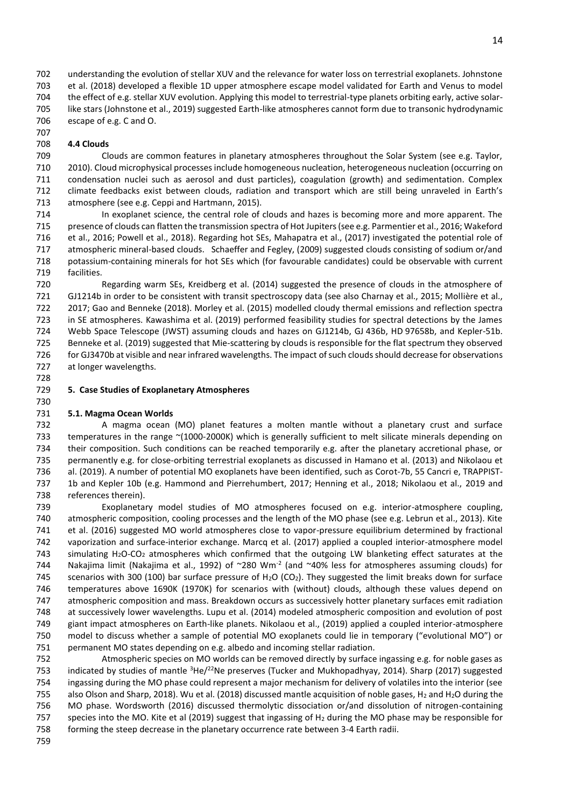understanding the evolution of stellar XUV and the relevance for water loss on terrestrial exoplanets. Johnstone et al. (2018) developed a flexible 1D upper atmosphere escape model validated for Earth and Venus to model the effect of e.g. stellar XUV evolution. Applying this model to terrestrial-type planets orbiting early, active solar- like stars (Johnstone et al., 2019) suggested Earth-like atmospheres cannot form due to transonic hydrodynamic escape of e.g. C and O.

### **4.4 Clouds**

 Clouds are common features in planetary atmospheres throughout the Solar System (see e.g. Taylor, 2010). Cloud microphysical processes include homogeneous nucleation, heterogeneous nucleation (occurring on condensation nuclei such as aerosol and dust particles), coagulation (growth) and sedimentation. Complex climate feedbacks exist between clouds, radiation and transport which are still being unraveled in Earth's atmosphere (see e.g. Ceppi and Hartmann, 2015).

 In exoplanet science, the central role of clouds and hazes is becoming more and more apparent. The presence of clouds can flatten the transmission spectra of Hot Jupiters (see e.g. Parmentier et al., 2016; Wakeford et al., 2016; Powell et al., 2018). Regarding hot SEs, Mahapatra et al., (2017) investigated the potential role of atmospheric mineral-based clouds. Schaeffer and Fegley, (2009) suggested clouds consisting of sodium or/and potassium-containing minerals for hot SEs which (for favourable candidates) could be observable with current facilities.

 Regarding warm SEs, Kreidberg et al. (2014) suggested the presence of clouds in the atmosphere of GJ1214b in order to be consistent with transit spectroscopy data (see also Charnay et al., 2015; Mollière et al., 2017; Gao and Benneke (2018). Morley et al. (2015) modelled cloudy thermal emissions and reflection spectra in SE atmospheres. Kawashima et al. (2019) performed feasibility studies for spectral detections by the James Webb Space Telescope (JWST) assuming clouds and hazes on GJ1214b, GJ 436b, HD 97658b, and Kepler-51b. Benneke et al. (2019) suggested that Mie-scattering by clouds is responsible for the flat spectrum they observed for GJ3470b at visible and near infrared wavelengths. The impact of such clouds should decrease for observations at longer wavelengths.

#### 

## **5. Case Studies of Exoplanetary Atmospheres**

#### **5.1. Magma Ocean Worlds**

 A magma ocean (MO) planet features a molten mantle without a planetary crust and surface temperatures in the range ~(1000-2000K) which is generally sufficient to melt silicate minerals depending on their composition. Such conditions can be reached temporarily e.g. after the planetary accretional phase, or permanently e.g. for close-orbiting terrestrial exoplanets as discussed in Hamano et al. (2013) and Nikolaou et al. (2019). A number of potential MO exoplanets have been identified, such as Corot-7b, 55 Cancri e, TRAPPIST- 1b and Kepler 10b (e.g. Hammond and Pierrehumbert, 2017; Henning et al., 2018; Nikolaou et al., 2019 and references therein).

 Exoplanetary model studies of MO atmospheres focused on e.g. interior-atmosphere coupling, atmospheric composition, cooling processes and the length of the MO phase (see e.g. Lebrun et al., 2013). Kite et al. (2016) suggested MO world atmospheres close to vapor-pressure equilibrium determined by fractional vaporization and surface-interior exchange. Marcq et al. (2017) applied a coupled interior-atmosphere model simulating H2O-CO<sup>2</sup> atmospheres which confirmed that the outgoing LW blanketing effect saturates at the 744 Nakajima limit (Nakajima et al., 1992) of  $\sim$ 280 Wm<sup>-2</sup> (and  $\sim$ 40% less for atmospheres assuming clouds) for 745 scenarios with 300 (100) bar surface pressure of H<sub>2</sub>O (CO<sub>2</sub>). They suggested the limit breaks down for surface temperatures above 1690K (1970K) for scenarios with (without) clouds, although these values depend on atmospheric composition and mass. Breakdown occurs as successively hotter planetary surfaces emit radiation at successively lower wavelengths. Lupu et al. (2014) modeled atmospheric composition and evolution of post giant impact atmospheres on Earth-like planets. Nikolaou et al., (2019) applied a coupled interior-atmosphere model to discuss whether a sample of potential MO exoplanets could lie in temporary ("evolutional MO") or permanent MO states depending on e.g. albedo and incoming stellar radiation.

 Atmospheric species on MO worlds can be removed directly by surface ingassing e.g. for noble gases as 753 indicated by studies of mantle  ${}^{3}$ He/ ${}^{22}$ Ne preserves (Tucker and Mukhopadhyay, 2014). Sharp (2017) suggested ingassing during the MO phase could represent a major mechanism for delivery of volatiles into the interior (see 755 also Olson and Sharp, 2018). Wu et al. (2018) discussed mantle acquisition of noble gases, H<sub>2</sub> and H<sub>2</sub>O during the MO phase. Wordsworth (2016) discussed thermolytic dissociation or/and dissolution of nitrogen-containing 757 species into the MO. Kite et al (2019) suggest that ingassing of H<sub>2</sub> during the MO phase may be responsible for forming the steep decrease in the planetary occurrence rate between 3-4 Earth radii.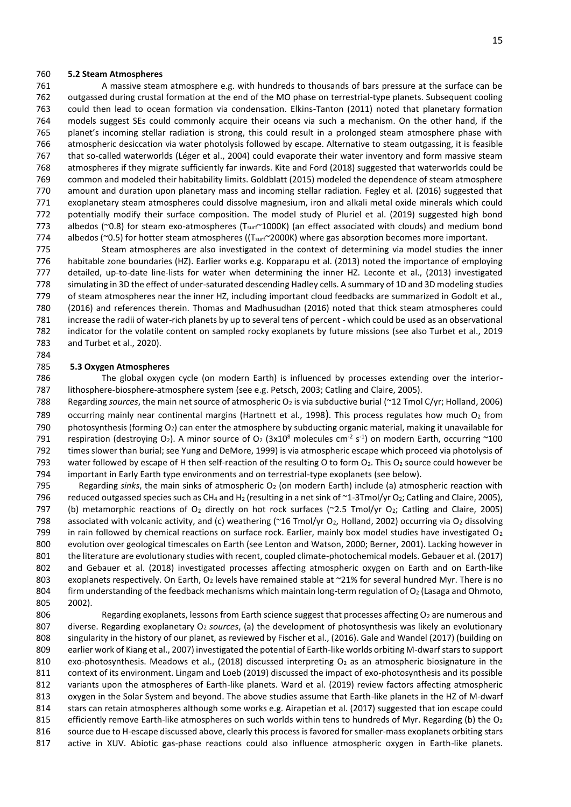#### **5.2 Steam Atmospheres**

 A massive steam atmosphere e.g. with hundreds to thousands of bars pressure at the surface can be outgassed during crustal formation at the end of the MO phase on terrestrial-type planets. Subsequent cooling could then lead to ocean formation via condensation. Elkins-Tanton (2011) noted that planetary formation models suggest SEs could commonly acquire their oceans via such a mechanism. On the other hand, if the planet's incoming stellar radiation is strong, this could result in a prolonged steam atmosphere phase with atmospheric desiccation via water photolysis followed by escape. Alternative to steam outgassing, it is feasible that so-called waterworlds (Léger et al., 2004) could evaporate their water inventory and form massive steam atmospheres if they migrate sufficiently far inwards. Kite and Ford (2018) suggested that waterworlds could be common and modeled their habitability limits. Goldblatt (2015) modeled the dependence of steam atmosphere amount and duration upon planetary mass and incoming stellar radiation. Fegley et al. (2016) suggested that exoplanetary steam atmospheres could dissolve magnesium, iron and alkali metal oxide minerals which could potentially modify their surface composition. The model study of Pluriel et al. (2019) suggested high bond 773 albedos (~0.8) for steam exo-atmospheres ( $T<sub>surf</sub>$ ~1000K) (an effect associated with clouds) and medium bond 774 albedos (~0.5) for hotter steam atmospheres ((T<sub>surf</sub>~2000K) where gas absorption becomes more important.

 Steam atmospheres are also investigated in the context of determining via model studies the inner habitable zone boundaries (HZ). Earlier works e.g. Kopparapu et al. (2013) noted the importance of employing detailed, up-to-date line-lists for water when determining the inner HZ. Leconte et al., (2013) investigated simulating in 3D the effect of under-saturated descending Hadley cells. A summary of 1D and 3D modeling studies of steam atmospheres near the inner HZ, including important cloud feedbacks are summarized in Godolt et al., (2016) and references therein. Thomas and Madhusudhan (2016) noted that thick steam atmospheres could increase the radii of water-rich planets by up to several tens of percent - which could be used as an observational indicator for the volatile content on sampled rocky exoplanets by future missions (see also Turbet et al., 2019 and Turbet et al., 2020).

#### **5.3 Oxygen Atmospheres**

 The global oxygen cycle (on modern Earth) is influenced by processes extending over the interior-lithosphere-biosphere-atmosphere system (see e.g. Petsch, 2003; Catling and Claire, 2005).

788 Regarding *sources*, the main net source of atmospheric O<sub>2</sub> is via subductive burial (~12 Tmol C/yr; Holland, 2006) 789 occurring mainly near continental margins (Hartnett et al., 1998). This process regulates how much  $O_2$  from 790 photosynthesis (forming  $O_2$ ) can enter the atmosphere by subducting organic material, making it unavailable for 791 respiration (destroying O<sub>2</sub>). A minor source of O<sub>2</sub> (3x10<sup>8</sup> molecules cm<sup>-2</sup> s<sup>-1</sup>) on modern Earth, occurring ~100 times slower than burial; see Yung and DeMore, 1999) is via atmospheric escape which proceed via photolysis of 793 water followed by escape of H then self-reaction of the resulting O to form  $O_2$ . This  $O_2$  source could however be important in Early Earth type environments and on terrestrial-type exoplanets (see below).

795 Regarding *sinks*, the main sinks of atmospheric O<sub>2</sub> (on modern Earth) include (a) atmospheric reaction with 796 reduced outgassed species such as CH<sub>4</sub> and H<sub>2</sub> (resulting in a net sink of  $\sim$ 1-3Tmol/yr O<sub>2</sub>; Catling and Claire, 2005), 797 (b) metamorphic reactions of  $O_2$  directly on hot rock surfaces (~2.5 Tmol/yr  $O_2$ ; Catling and Claire, 2005) 798 associated with volcanic activity, and (c) weathering ( $\sim$ 16 Tmol/yr O<sub>2</sub>, Holland, 2002) occurring via O<sub>2</sub> dissolving 799 in rain followed by chemical reactions on surface rock. Earlier, mainly box model studies have investigated  $O<sub>2</sub>$  evolution over geological timescales on Earth (see Lenton and Watson, 2000; Berner, 2001). Lacking however in the literature are evolutionary studies with recent, coupled climate-photochemical models. Gebauer et al. (2017) and Gebauer et al. (2018) investigated processes affecting atmospheric oxygen on Earth and on Earth-like 803 exoplanets respectively. On Earth, O<sub>2</sub> levels have remained stable at ~21% for several hundred Myr. There is no 804 firm understanding of the feedback mechanisms which maintain long-term regulation of  $O_2$  (Lasaga and Ohmoto, 2002).

806 Regarding exoplanets, lessons from Earth science suggest that processes affecting  $O_2$  are numerous and diverse. Regarding exoplanetary O<sup>2</sup> *sources*, (a) the development of photosynthesis was likely an evolutionary singularity in the history of our planet, as reviewed by Fischer et al., (2016). Gale and Wandel (2017) (building on earlier work of Kiang et al., 2007) investigated the potential of Earth-like worlds orbiting M-dwarf stars to support 810 exo-photosynthesis. Meadows et al., (2018) discussed interpreting O<sub>2</sub> as an atmospheric biosignature in the context of its environment. Lingam and Loeb (2019) discussed the impact of exo-photosynthesis and its possible variants upon the atmospheres of Earth-like planets. Ward et al. (2019) review factors affecting atmospheric oxygen in the Solar System and beyond. The above studies assume that Earth-like planets in the HZ of M-dwarf stars can retain atmospheres although some works e.g. Airapetian et al. (2017) suggested that ion escape could 815 efficiently remove Earth-like atmospheres on such worlds within tens to hundreds of Myr. Regarding (b) the  $O<sub>2</sub>$ 816 source due to H-escape discussed above, clearly this process is favored for smaller-mass exoplanets orbiting stars active in XUV. Abiotic gas-phase reactions could also influence atmospheric oxygen in Earth-like planets.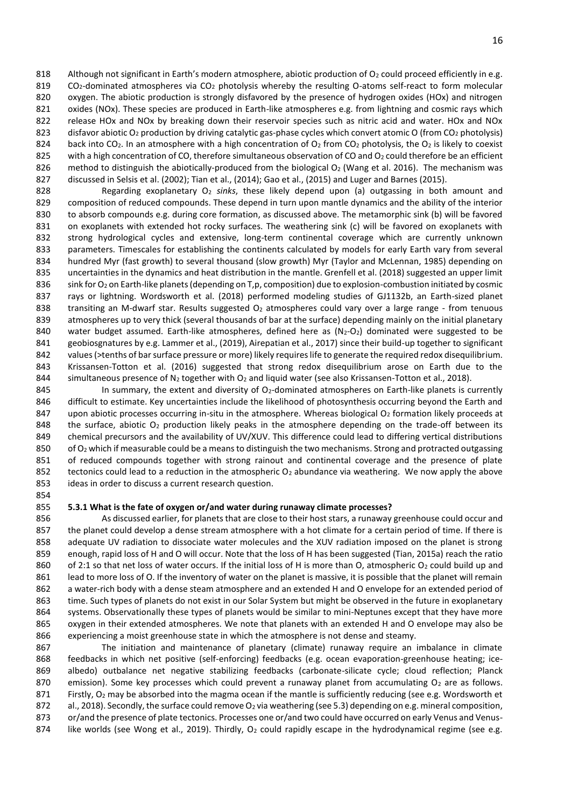818 Although not significant in Earth's modern atmosphere, abiotic production of  $O_2$  could proceed efficiently in e.g. 819 CO<sub>2</sub>-dominated atmospheres via CO<sub>2</sub> photolysis whereby the resulting O-atoms self-react to form molecular 820 oxygen. The abiotic production is strongly disfavored by the presence of hydrogen oxides (HOx) and nitrogen 821 oxides (NOx). These species are produced in Earth-like atmospheres e.g. from lightning and cosmic rays which 822 release HOx and NOx by breaking down their reservoir species such as nitric acid and water. HOx and NOx 823 disfavor abiotic O<sub>2</sub> production by driving catalytic gas-phase cycles which convert atomic O (from CO<sub>2</sub> photolysis) 824 back into CO<sub>2</sub>. In an atmosphere with a high concentration of  $O_2$  from CO<sub>2</sub> photolysis, the O<sub>2</sub> is likely to coexist 825 with a high concentration of CO, therefore simultaneous observation of CO and  $O_2$  could therefore be an efficient 826 method to distinguish the abiotically-produced from the biological  $O<sub>2</sub>$  (Wang et al. 2016). The mechanism was 827 discussed in Selsis et al. (2002); Tian et al., (2014); Gao et al., (2015) and Luger and Barnes (2015).

 Regarding exoplanetary O<sup>2</sup> *sinks*, these likely depend upon (a) outgassing in both amount and composition of reduced compounds. These depend in turn upon mantle dynamics and the ability of the interior to absorb compounds e.g. during core formation, as discussed above. The metamorphic sink (b) will be favored on exoplanets with extended hot rocky surfaces. The weathering sink (c) will be favored on exoplanets with strong hydrological cycles and extensive, long-term continental coverage which are currently unknown parameters. Timescales for establishing the continents calculated by models for early Earth vary from several hundred Myr (fast growth) to several thousand (slow growth) Myr (Taylor and McLennan, 1985) depending on uncertainties in the dynamics and heat distribution in the mantle. Grenfell et al. (2018) suggested an upper limit 836 sink for O<sub>2</sub> on Earth-like planets (depending on T,p, composition) due to explosion-combustion initiated by cosmic rays or lightning. Wordsworth et al. (2018) performed modeling studies of GJ1132b, an Earth-sized planet 838 transiting an M-dwarf star. Results suggested  $O<sub>2</sub>$  atmospheres could vary over a large range - from tenuous atmospheres up to very thick (several thousands of bar at the surface) depending mainly on the initial planetary 840 water budget assumed. Earth-like atmospheres, defined here as (N<sub>2</sub>-O<sub>2</sub>) dominated were suggested to be geobiosgnatures by e.g. Lammer et al., (2019), Airepatian et al., 2017) since their build-up together to significant values (>tenths of bar surface pressure or more) likely requires life to generate the required redox disequilibrium. Krissansen-Totton et al. (2016) suggested that strong redox disequilibrium arose on Earth due to the 844 simultaneous presence of N<sub>2</sub> together with O<sub>2</sub> and liquid water (see also Krissansen-Totton et al., 2018).

845 In summary, the extent and diversity of  $O<sub>2</sub>$ -dominated atmospheres on Earth-like planets is currently 846 difficult to estimate. Key uncertainties include the likelihood of photosynthesis occurring beyond the Earth and 847 upon abiotic processes occurring in-situ in the atmosphere. Whereas biological  $O<sub>2</sub>$  formation likely proceeds at 848 the surface, abiotic  $O_2$  production likely peaks in the atmosphere depending on the trade-off between its 849 chemical precursors and the availability of UV/XUV. This difference could lead to differing vertical distributions 850 of  $O<sub>2</sub>$  which if measurable could be a means to distinguish the two mechanisms. Strong and protracted outgassing 851 of reduced compounds together with strong rainout and continental coverage and the presence of plate 852 tectonics could lead to a reduction in the atmospheric  $O_2$  abundance via weathering. We now apply the above 853 ideas in order to discuss a current research question.

854

#### 855 **5.3.1 What is the fate of oxygen or/and water during runaway climate processes?**

856 As discussed earlier, for planets that are close to their host stars, a runaway greenhouse could occur and 857 the planet could develop a dense stream atmosphere with a hot climate for a certain period of time. If there is 858 adequate UV radiation to dissociate water molecules and the XUV radiation imposed on the planet is strong 859 enough, rapid loss of H and O will occur. Note that the loss of H has been suggested (Tian, 2015a) reach the ratio 860 of 2:1 so that net loss of water occurs. If the initial loss of H is more than O, atmospheric O<sub>2</sub> could build up and 861 lead to more loss of O. If the inventory of water on the planet is massive, it is possible that the planet will remain 862 a water-rich body with a dense steam atmosphere and an extended H and O envelope for an extended period of 863 time. Such types of planets do not exist in our Solar System but might be observed in the future in exoplanetary 864 systems. Observationally these types of planets would be similar to mini-Neptunes except that they have more 865 oxygen in their extended atmospheres. We note that planets with an extended H and O envelope may also be 866 experiencing a moist greenhouse state in which the atmosphere is not dense and steamy.

867 The initiation and maintenance of planetary (climate) runaway require an imbalance in climate 868 feedbacks in which net positive (self-enforcing) feedbacks (e.g. ocean evaporation-greenhouse heating; ice-869 albedo) outbalance net negative stabilizing feedbacks (carbonate-silicate cycle; cloud reflection; Planck 870 emission). Some key processes which could prevent a runaway planet from accumulating  $O<sub>2</sub>$  are as follows. 871 Firstly, O<sub>2</sub> may be absorbed into the magma ocean if the mantle is sufficiently reducing (see e.g. Wordsworth et 872 al., 2018). Secondly, the surface could remove O<sub>2</sub> via weathering (see 5.3) depending on e.g. mineral composition, 873 or/and the presence of plate tectonics. Processes one or/and two could have occurred on early Venus and Venus-874 like worlds (see Wong et al., 2019). Thirdly,  $O_2$  could rapidly escape in the hydrodynamical regime (see e.g.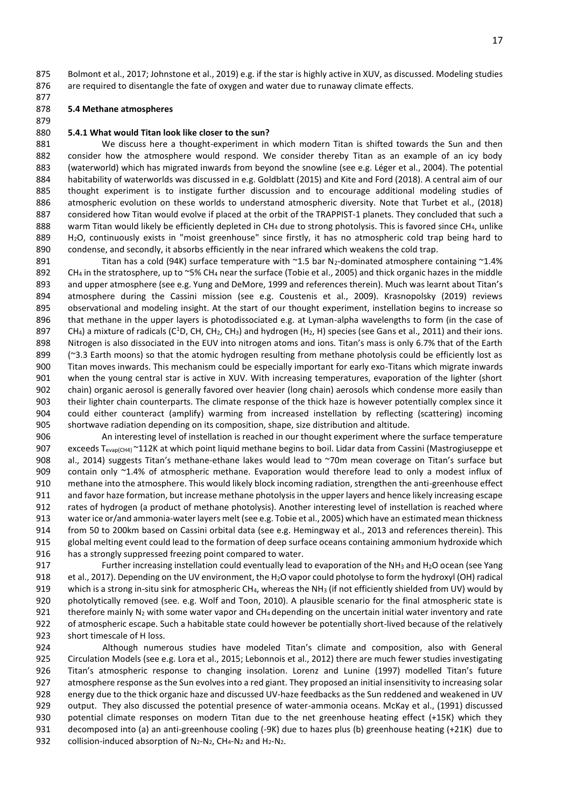875 Bolmont et al., 2017; Johnstone et al., 2019) e.g. if the star is highly active in XUV, as discussed. Modeling studies 876 are required to disentangle the fate of oxygen and water due to runaway climate effects.

#### **5.4 Methane atmospheres**

#### **5.4.1 What would Titan look like closer to the sun?**

 We discuss here a thought-experiment in which modern Titan is shifted towards the Sun and then consider how the atmosphere would respond. We consider thereby Titan as an example of an icy body (waterworld) which has migrated inwards from beyond the snowline (see e.g. Léger et al., 2004). The potential habitability of waterworlds was discussed in e.g. Goldblatt (2015) and Kite and Ford (2018). A central aim of our thought experiment is to instigate further discussion and to encourage additional modeling studies of atmospheric evolution on these worlds to understand atmospheric diversity. Note that Turbet et al., (2018) considered how Titan would evolve if placed at the orbit of the TRAPPIST-1 planets. They concluded that such a 888 warm Titan would likely be efficiently depleted in CH<sub>4</sub> due to strong photolysis. This is favored since CH<sub>4</sub>, unlike 889 H<sub>2</sub>O, continuously exists in "moist greenhouse" since firstly, it has no atmospheric cold trap being hard to condense, and secondly, it absorbs efficiently in the near infrared which weakens the cold trap.

891 Titan has a cold (94K) surface temperature with ~1.5 bar N<sub>2</sub>-dominated atmosphere containing ~1.4% 892 CH<sub>4</sub> in the stratosphere, up to ~5% CH<sub>4</sub> near the surface (Tobie et al., 2005) and thick organic hazes in the middle and upper atmosphere (see e.g. Yung and DeMore, 1999 and references therein). Much was learnt about Titan's 894 atmosphere during the Cassini mission (see e.g. Coustenis et al., 2009). Krasnopolsky (2019) reviews observational and modeling insight. At the start of our thought experiment, instellation begins to increase so 896 that methane in the upper layers is photodissociated e.g. at Lyman-alpha wavelengths to form (in the case of CH<sub>4</sub>) a mixture of radicals (C<sup>1</sup>D, CH, CH<sub>2</sub>, CH<sub>3</sub>) and hydrogen (H<sub>2</sub>, H) species (see Gans et al., 2011) and their ions. 898 Nitrogen is also dissociated in the EUV into nitrogen atoms and ions. Titan's mass is only 6.7% that of the Earth 899 (~3.3 Earth moons) so that the atomic hydrogen resulting from methane photolysis could be efficiently lost as Titan moves inwards. This mechanism could be especially important for early exo-Titans which migrate inwards when the young central star is active in XUV. With increasing temperatures, evaporation of the lighter (short chain) organic aerosol is generally favored over heavier (long chain) aerosols which condense more easily than their lighter chain counterparts. The climate response of the thick haze is however potentially complex since it could either counteract (amplify) warming from increased instellation by reflecting (scattering) incoming shortwave radiation depending on its composition, shape, size distribution and altitude.

 An interesting level of instellation is reached in our thought experiment where the surface temperature 907 exceeds T<sub>evap(CH4)</sub> ~112K at which point liquid methane begins to boil. Lidar data from Cassini (Mastrogiuseppe et 908 al., 2014) suggests Titan's methane-ethane lakes would lead to ~70m mean coverage on Titan's surface but 909 contain only ~1.4% of atmospheric methane. Evaporation would therefore lead to only a modest influx of methane into the atmosphere. This would likely block incoming radiation, strengthen the anti-greenhouse effect and favor haze formation, but increase methane photolysis in the upper layers and hence likely increasing escape rates of hydrogen (a product of methane photolysis). Another interesting level of instellation is reached where water ice or/and ammonia-water layers melt (see e.g. Tobie et al., 2005) which have an estimated mean thickness from 50 to 200km based on Cassini orbital data (see e.g. Hemingway et al., 2013 and references therein). This global melting event could lead to the formation of deep surface oceans containing ammonium hydroxide which has a strongly suppressed freezing point compared to water.

 Further increasing instellation could eventually lead to evaporation of the NH<sup>3</sup> and H2O ocean (see Yang et al., 2017). Depending on the UV environment, the H2O vapor could photolyse to form the hydroxyl (OH) radical 919 which is a strong in-situ sink for atmospheric CH<sub>4</sub>, whereas the NH<sub>3</sub> (if not efficiently shielded from UV) would by photolytically removed (see. e.g. Wolf and Toon, 2010). A plausible scenario for the final atmospheric state is 921 therefore mainly N<sub>2</sub> with some water vapor and CH<sub>4</sub> depending on the uncertain initial water inventory and rate of atmospheric escape. Such a habitable state could however be potentially short-lived because of the relatively short timescale of H loss.

 Although numerous studies have modeled Titan's climate and composition, also with General Circulation Models (see e.g. Lora et al., 2015; Lebonnois et al., 2012) there are much fewer studies investigating Titan's atmospheric response to changing insolation. Lorenz and Lunine (1997) modelled Titan's future atmosphere response as the Sun evolves into a red giant. They proposed an initial insensitivity to increasing solar energy due to the thick organic haze and discussed UV-haze feedbacks as the Sun reddened and weakened in UV output. They also discussed the potential presence of water-ammonia oceans. McKay et al., (1991) discussed potential climate responses on modern Titan due to the net greenhouse heating effect (+15K) which they decomposed into (a) an anti-greenhouse cooling (-9K) due to hazes plus (b) greenhouse heating (+21K) due to 932 collision-induced absorption of  $N_2-N_2$ ,  $CH_4-N_2$  and  $H_2-N_2$ .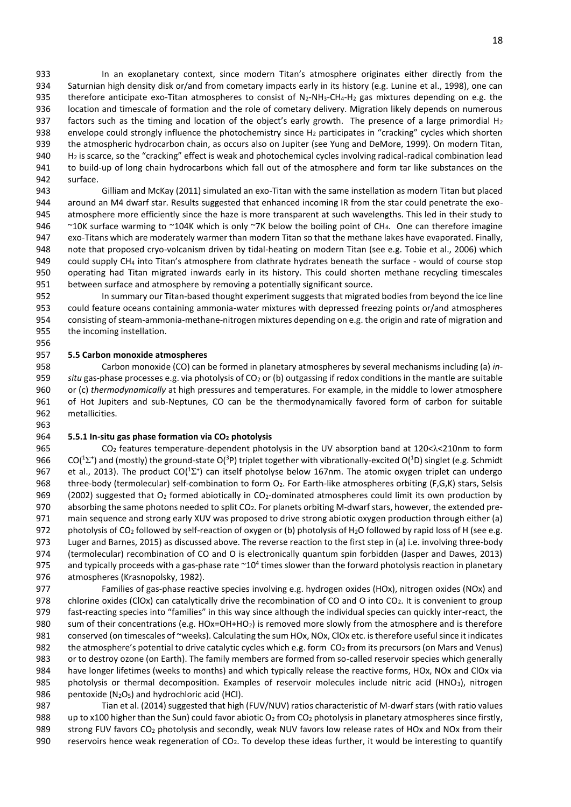In an exoplanetary context, since modern Titan's atmosphere originates either directly from the Saturnian high density disk or/and from cometary impacts early in its history (e.g. Lunine et al., 1998), one can 935 therefore anticipate exo-Titan atmospheres to consist of N<sub>2</sub>-NH<sub>3</sub>-CH<sub>4</sub>-H<sub>2</sub> gas mixtures depending on e.g. the location and timescale of formation and the role of cometary delivery. Migration likely depends on numerous 937 factors such as the timing and location of the object's early growth. The presence of a large primordial H<sub>2</sub> 938 envelope could strongly influence the photochemistry since  $H_2$  participates in "cracking" cycles which shorten the atmospheric hydrocarbon chain, as occurs also on Jupiter (see Yung and DeMore, 1999). On modern Titan, H<sup>2</sup> is scarce, so the "cracking" effect is weak and photochemical cycles involving radical-radical combination lead to build-up of long chain hydrocarbons which fall out of the atmosphere and form tar like substances on the surface.

 Gilliam and McKay (2011) simulated an exo-Titan with the same instellation as modern Titan but placed around an M4 dwarf star. Results suggested that enhanced incoming IR from the star could penetrate the exo- atmosphere more efficiently since the haze is more transparent at such wavelengths. This led in their study to 946 ~10K surface warming to ~104K which is only ~7K below the boiling point of CH<sub>4</sub>. One can therefore imagine exo-Titans which are moderately warmer than modern Titan so that the methane lakes have evaporated. Finally, note that proposed cryo-volcanism driven by tidal-heating on modern Titan (see e.g. Tobie et al., 2006) which 949 could supply CH<sub>4</sub> into Titan's atmosphere from clathrate hydrates beneath the surface - would of course stop operating had Titan migrated inwards early in its history. This could shorten methane recycling timescales between surface and atmosphere by removing a potentially significant source.

 In summary our Titan-based thought experiment suggests that migrated bodies from beyond the ice line could feature oceans containing ammonia-water mixtures with depressed freezing points or/and atmospheres consisting of steam-ammonia-methane-nitrogen mixtures depending on e.g. the origin and rate of migration and the incoming instellation.

#### **5.5 Carbon monoxide atmospheres**

 Carbon monoxide (CO) can be formed in planetary atmospheres by several mechanisms including (a) *in- situ* gas-phase processes e.g. via photolysis of CO<sup>2</sup> or (b) outgassing if redox conditions in the mantle are suitable or (c) *thermodynamically* at high pressures and temperatures. For example, in the middle to lower atmosphere of Hot Jupiters and sub-Neptunes, CO can be the thermodynamically favored form of carbon for suitable metallicities.

## **5.5.1 In-situ gas phase formation via CO<sup>2</sup> photolysis**

 CO<sup>2</sup> features temperature-dependent photolysis in the UV absorption band at 120<λ<210nm to form 966 CO( $^1\Sigma^+$ ) and (mostly) the ground-state O( $^3$ P) triplet together with vibrationally-excited O( $^1$ D) singlet (e.g. Schmidt 967 et al., 2013). The product CO( ${}^{1}\Sigma^{+}$ ) can itself photolyse below 167nm. The atomic oxygen triplet can undergo three-body (termolecular) self-combination to form O2. For Earth-like atmospheres orbiting (F,G,K) stars, Selsis 969 (2002) suggested that O<sub>2</sub> formed abiotically in CO<sub>2</sub>-dominated atmospheres could limit its own production by 970 absorbing the same photons needed to split CO<sub>2</sub>. For planets orbiting M-dwarf stars, however, the extended pre- main sequence and strong early XUV was proposed to drive strong abiotic oxygen production through either (a) 972 photolysis of CO<sub>2</sub> followed by self-reaction of oxygen or (b) photolysis of H<sub>2</sub>O followed by rapid loss of H (see e.g. Luger and Barnes, 2015) as discussed above. The reverse reaction to the first step in (a) i.e. involving three-body (termolecular) recombination of CO and O is electronically quantum spin forbidden (Jasper and Dawes, 2013) 975 and typically proceeds with a gas-phase rate  $\sim 10^4$  times slower than the forward photolysis reaction in planetary atmospheres (Krasnopolsky, 1982).

 Families of gas-phase reactive species involving e.g. hydrogen oxides (HOx), nitrogen oxides (NOx) and 978 chlorine oxides (ClOx) can catalytically drive the recombination of CO and O into CO<sub>2</sub>. It is convenient to group fast-reacting species into "families" in this way since although the individual species can quickly inter-react, the sum of their concentrations (e.g. HOx=OH+HO2) is removed more slowly from the atmosphere and is therefore 981 conserved (on timescales of ~weeks). Calculating the sum HOx, NOx, ClOx etc. is therefore useful since it indicates 982 the atmosphere's potential to drive catalytic cycles which e.g. form CO<sub>2</sub> from its precursors (on Mars and Venus) or to destroy ozone (on Earth). The family members are formed from so-called reservoir species which generally have longer lifetimes (weeks to months) and which typically release the reactive forms, HOx, NOx and ClOx via 985 photolysis or thermal decomposition. Examples of reservoir molecules include nitric acid (HNO<sub>3</sub>), nitrogen 986 pentoxide  $(N_2O_5)$  and hydrochloric acid (HCl).

 Tian et al. (2014) suggested that high (FUV/NUV) ratios characteristic of M-dwarf stars (with ratio values 988 up to x100 higher than the Sun) could favor abiotic  $O_2$  from  $CO_2$  photolysis in planetary atmospheres since firstly, 989 strong FUV favors CO<sub>2</sub> photolysis and secondly, weak NUV favors low release rates of HOx and NOx from their reservoirs hence weak regeneration of CO2. To develop these ideas further, it would be interesting to quantify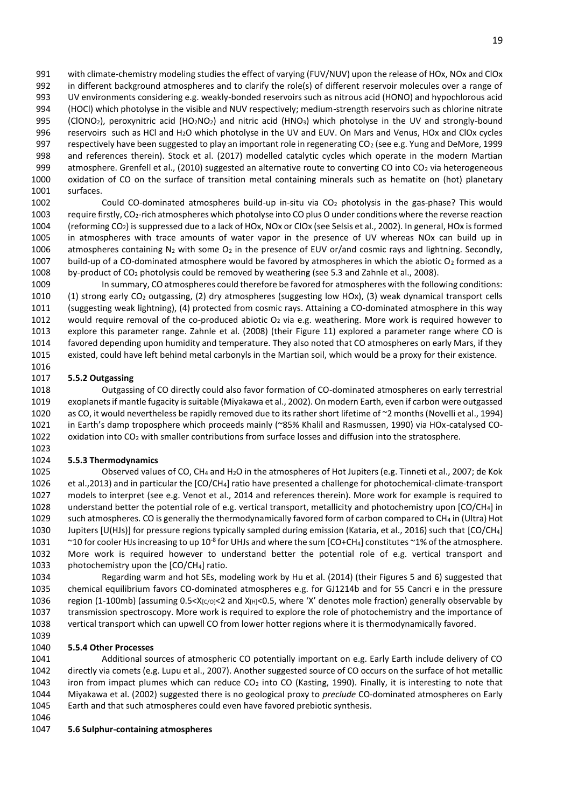with climate-chemistry modeling studies the effect of varying (FUV/NUV) upon the release of HOx, NOx and ClOx in different background atmospheres and to clarify the role(s) of different reservoir molecules over a range of UV environments considering e.g. weakly-bonded reservoirs such as nitrous acid (HONO) and hypochlorous acid (HOCl) which photolyse in the visible and NUV respectively; medium-strength reservoirs such as chlorine nitrate 995 (CIONO<sub>2</sub>), peroxynitric acid (HO<sub>2</sub>NO<sub>2</sub>) and nitric acid (HNO<sub>3</sub>) which photolyse in the UV and strongly-bound 996 reservoirs such as HCl and H<sub>2</sub>O which photolyse in the UV and EUV. On Mars and Venus, HOx and ClOx cycles 997 respectively have been suggested to play an important role in regenerating CO<sub>2</sub> (see e.g. Yung and DeMore, 1999 and references therein). Stock et al. (2017) modelled catalytic cycles which operate in the modern Martian 999 atmosphere. Grenfell et al., (2010) suggested an alternative route to converting CO into CO<sub>2</sub> via heterogeneous oxidation of CO on the surface of transition metal containing minerals such as hematite on (hot) planetary surfaces.

 Could CO-dominated atmospheres build-up in-situ via CO<sup>2</sup> photolysis in the gas-phase? This would require firstly, CO2-rich atmospheres which photolyse into CO plus O under conditions where the reverse reaction (reforming CO2) is suppressed due to a lack of HOx, NOx or ClOx (see Selsis et al., 2002). In general, HOx is formed in atmospheres with trace amounts of water vapor in the presence of UV whereas NOx can build up in 1006 atmospheres containing N<sub>2</sub> with some O<sub>2</sub> in the presence of EUV or/and cosmic rays and lightning. Secondly, 1007 build-up of a CO-dominated atmosphere would be favored by atmospheres in which the abiotic  $O_2$  formed as a by-product of CO<sup>2</sup> photolysis could be removed by weathering (see 5.3 and Zahnle et al., 2008).

 In summary, CO atmospheres could therefore be favored for atmospheres with the following conditions: (1) strong early CO<sup>2</sup> outgassing, (2) dry atmospheres (suggesting low HOx), (3) weak dynamical transport cells (suggesting weak lightning), (4) protected from cosmic rays. Attaining a CO-dominated atmosphere in this way 1012 would require removal of the co-produced abiotic  $O_2$  via e.g. weathering. More work is required however to explore this parameter range. Zahnle et al. (2008) (their Figure 11) explored a parameter range where CO is favored depending upon humidity and temperature. They also noted that CO atmospheres on early Mars, if they existed, could have left behind metal carbonyls in the Martian soil, which would be a proxy for their existence. 

## **5.5.2 Outgassing**

 Outgassing of CO directly could also favor formation of CO-dominated atmospheres on early terrestrial exoplanets if mantle fugacity is suitable (Miyakawa et al., 2002). On modern Earth, even if carbon were outgassed as CO, it would nevertheless be rapidly removed due to its rather short lifetime of ~2 months (Novelli et al., 1994) in Earth's damp troposphere which proceeds mainly (~85% Khalil and Rasmussen, 1990) via HOx-catalysed CO- oxidation into CO<sup>2</sup> with smaller contributions from surface losses and diffusion into the stratosphere. 

## **5.5.3 Thermodynamics**

 Observed values of CO, CH<sup>4</sup> and H2O in the atmospheres of Hot Jupiters (e.g. Tinneti et al., 2007; de Kok et al.,2013) and in particular the [CO/CH4] ratio have presented a challenge for photochemical-climate-transport models to interpret (see e.g. Venot et al., 2014 and references therein). More work for example is required to understand better the potential role of e.g. vertical transport, metallicity and photochemistry upon [CO/CH4] in 1029 such atmospheres. CO is generally the thermodynamically favored form of carbon compared to CH<sub>4</sub> in (Ultra) Hot Jupiters [U(HJs)] for pressure regions typically sampled during emission (Kataria, et al., 2016) such that [CO/CH4]  $\degree$  ~10 for cooler HJs increasing to up 10<sup>-8</sup> for UHJs and where the sum [CO+CH<sub>4</sub>] constitutes ~1% of the atmosphere. More work is required however to understand better the potential role of e.g. vertical transport and 1033 photochemistry upon the [CO/CH4] ratio.

 Regarding warm and hot SEs, modeling work by Hu et al. (2014) (their Figures 5 and 6) suggested that chemical equilibrium favors CO-dominated atmospheres e.g. for GJ1214b and for 55 Cancri e in the pressure 1036 region (1-100mb) (assuming 0.5<X[C/O]<2 and X[H]<0.5, where 'X' denotes mole fraction) generally observable by transmission spectroscopy. More work is required to explore the role of photochemistry and the importance of vertical transport which can upwell CO from lower hotter regions where it is thermodynamically favored.

#### **5.5.4 Other Processes**

 Additional sources of atmospheric CO potentially important on e.g. Early Earth include delivery of CO directly via comets (e.g. Lupu et al., 2007). Another suggested source of CO occurs on the surface of hot metallic 1043 iron from impact plumes which can reduce CO<sub>2</sub> into CO (Kasting, 1990). Finally, it is interesting to note that Miyakawa et al. (2002) suggested there is no geological proxy to *preclude* CO-dominated atmospheres on Early Earth and that such atmospheres could even have favored prebiotic synthesis.

- 
- **5.6 Sulphur-containing atmospheres**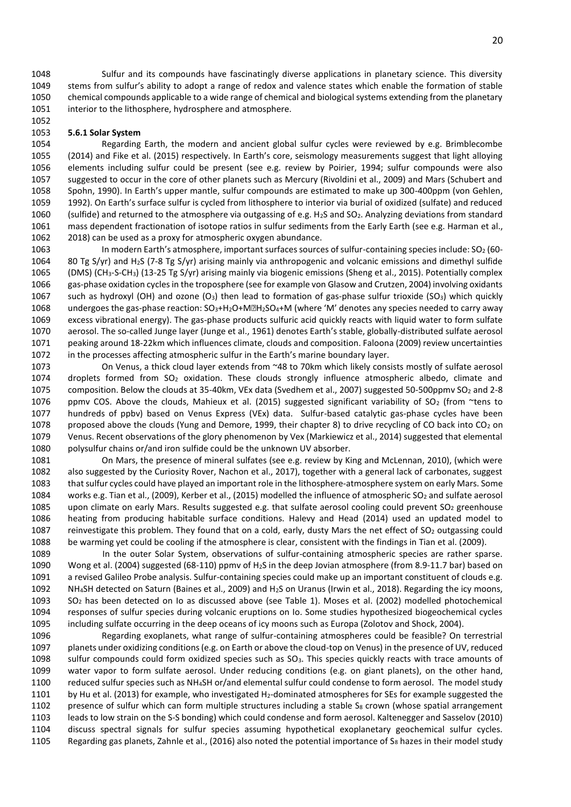Sulfur and its compounds have fascinatingly diverse applications in planetary science. This diversity stems from sulfur's ability to adopt a range of redox and valence states which enable the formation of stable chemical compounds applicable to a wide range of chemical and biological systems extending from the planetary interior to the lithosphere, hydrosphere and atmosphere.

#### **5.6.1 Solar System**

 Regarding Earth, the modern and ancient global sulfur cycles were reviewed by e.g. Brimblecombe (2014) and Fike et al. (2015) respectively. In Earth's core, seismology measurements suggest that light alloying elements including sulfur could be present (see e.g. review by Poirier, 1994; sulfur compounds were also suggested to occur in the core of other planets such as Mercury (Rivoldini et al., 2009) and Mars (Schubert and Spohn, 1990). In Earth's upper mantle, sulfur compounds are estimated to make up 300-400ppm (von Gehlen, 1992). On Earth's surface sulfur is cycled from lithosphere to interior via burial of oxidized (sulfate) and reduced 1060 (sulfide) and returned to the atmosphere via outgassing of e.g. H<sub>2</sub>S and SO<sub>2</sub>. Analyzing deviations from standard mass dependent fractionation of isotope ratios in sulfur sediments from the Early Earth (see e.g. Harman et al., 2018) can be used as a proxy for atmospheric oxygen abundance.

 In modern Earth's atmosphere, important surfaces sources of sulfur-containing species include: SO<sup>2</sup> (60- 80 Tg S/yr) and H2S (7-8 Tg S/yr) arising mainly via anthropogenic and volcanic emissions and dimethyl sulfide (DMS) (CH3-S-CH3) (13-25 Tg S/yr) arising mainly via biogenic emissions (Sheng et al., 2015). Potentially complex gas-phase oxidation cycles in the troposphere (see for example von Glasow and Crutzen, 2004) involving oxidants 1067 such as hydroxyl (OH) and ozone  $(O_3)$  then lead to formation of gas-phase sulfur trioxide (SO<sub>3</sub>) which quickly 1068 undergoes the gas-phase reaction: SO<sub>3</sub>+H<sub>2</sub>O+M<sub>[2</sub>H<sub>2</sub>SO<sub>4</sub>+M (where 'M' denotes any species needed to carry away excess vibrational energy). The gas-phase products sulfuric acid quickly reacts with liquid water to form sulfate aerosol. The so-called Junge layer (Junge et al., 1961) denotes Earth's stable, globally-distributed sulfate aerosol peaking around 18-22km which influences climate, clouds and composition. Faloona (2009) review uncertainties in the processes affecting atmospheric sulfur in the Earth's marine boundary layer.

 On Venus, a thick cloud layer extends from ~48 to 70km which likely consists mostly of sulfate aerosol droplets formed from SO<sup>2</sup> oxidation. These clouds strongly influence atmospheric albedo, climate and composition. Below the clouds at 35-40km, VEx data (Svedhem et al., 2007) suggested 50-500ppmv SO<sup>2</sup> and 2-8 1076 ppmv COS. Above the clouds, Mahieux et al. (2015) suggested significant variability of SO<sub>2</sub> (from ~tens to hundreds of ppbv) based on Venus Express (VEx) data. Sulfur-based catalytic gas-phase cycles have been 1078 proposed above the clouds (Yung and Demore, 1999, their chapter 8) to drive recycling of CO back into  $CO<sub>2</sub>$  on Venus. Recent observations of the glory phenomenon by Vex (Markiewicz et al., 2014) suggested that elemental polysulfur chains or/and iron sulfide could be the unknown UV absorber.

 On Mars, the presence of mineral sulfates (see e.g. review by King and McLennan, 2010), (which were also suggested by the Curiosity Rover, Nachon et al., 2017), together with a general lack of carbonates, suggest that sulfur cycles could have played an important role in the lithosphere-atmosphere system on early Mars. Some 1084 works e.g. Tian et al., (2009), Kerber et al., (2015) modelled the influence of atmospheric SO<sub>2</sub> and sulfate aerosol 1085 upon climate on early Mars. Results suggested e.g. that sulfate aerosol cooling could prevent SO<sub>2</sub> greenhouse heating from producing habitable surface conditions. Halevy and Head (2014) used an updated model to 1087 reinvestigate this problem. They found that on a cold, early, dusty Mars the net effect of SO<sub>2</sub> outgassing could be warming yet could be cooling if the atmosphere is clear, consistent with the findings in Tian et al. (2009).

 In the outer Solar System, observations of sulfur-containing atmospheric species are rather sparse. Wong et al. (2004) suggested (68-110) ppmv of H2S in the deep Jovian atmosphere (from 8.9-11.7 bar) based on a revised Galileo Probe analysis. Sulfur-containing species could make up an important constituent of clouds e.g. NH4SH detected on Saturn (Baines et al., 2009) and H2S on Uranus (Irwin et al., 2018). Regarding the icy moons, SO<sup>2</sup> has been detected on Io as discussed above (see Table 1). Moses et al. (2002) modelled photochemical responses of sulfur species during volcanic eruptions on Io. Some studies hypothesized biogeochemical cycles including sulfate occurring in the deep oceans of icy moons such as Europa (Zolotov and Shock, 2004).

 Regarding exoplanets, what range of sulfur-containing atmospheres could be feasible? On terrestrial planets under oxidizing conditions (e.g. on Earth or above the cloud-top on Venus) in the presence of UV, reduced sulfur compounds could form oxidized species such as SO3. This species quickly reacts with trace amounts of water vapor to form sulfate aerosol. Under reducing conditions (e.g. on giant planets), on the other hand, reduced sulfur species such as NH4SH or/and elemental sulfur could condense to form aerosol. The model study by Hu et al. (2013) for example, who investigated H2-dominated atmospheres for SEs for example suggested the 1102 presence of sulfur which can form multiple structures including a stable  $S_8$  crown (whose spatial arrangement leads to low strain on the S-S bonding) which could condense and form aerosol. Kaltenegger and Sasselov (2010) discuss spectral signals for sulfur species assuming hypothetical exoplanetary geochemical sulfur cycles. 1105 Regarding gas planets, Zahnle et al., (2016) also noted the potential importance of S<sub>8</sub> hazes in their model study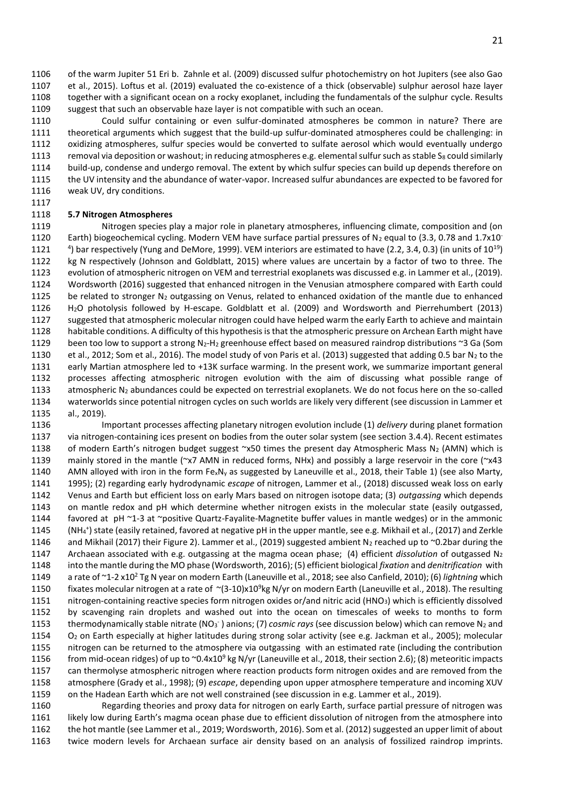of the warm Jupiter 51 Eri b. Zahnle et al. (2009) discussed sulfur photochemistry on hot Jupiters (see also Gao et al., 2015). Loftus et al. (2019) evaluated the co-existence of a thick (observable) sulphur aerosol haze layer together with a significant ocean on a rocky exoplanet, including the fundamentals of the sulphur cycle. Results suggest that such an observable haze layer is not compatible with such an ocean.

 Could sulfur containing or even sulfur-dominated atmospheres be common in nature? There are theoretical arguments which suggest that the build-up sulfur-dominated atmospheres could be challenging: in oxidizing atmospheres, sulfur species would be converted to sulfate aerosol which would eventually undergo 1113 removal via deposition or washout; in reducing atmospheres e.g. elemental sulfur such as stable S<sub>8</sub> could similarly build-up, condense and undergo removal. The extent by which sulfur species can build up depends therefore on the UV intensity and the abundance of water-vapor. Increased sulfur abundances are expected to be favored for weak UV, dry conditions.

#### **5.7 Nitrogen Atmospheres**

 Nitrogen species play a major role in planetary atmospheres, influencing climate, composition and (on 1120 Earth) biogeochemical cycling. Modern VEM have surface partial pressures of  $N_2$  equal to (3.3, 0.78 and 1.7x10<sup>-</sup>  $\frac{4}{12}$  bar respectively (Yung and DeMore, 1999). VEM interiors are estimated to have (2.2, 3.4, 0.3) (in units of 10<sup>19</sup>) kg N respectively (Johnson and Goldblatt, 2015) where values are uncertain by a factor of two to three. The evolution of atmospheric nitrogen on VEM and terrestrial exoplanets was discussed e.g. in Lammer et al., (2019). Wordsworth (2016) suggested that enhanced nitrogen in the Venusian atmosphere compared with Earth could 1125 be related to stronger  $N_2$  outgassing on Venus, related to enhanced oxidation of the mantle due to enhanced H2O photolysis followed by H-escape. Goldblatt et al. (2009) and Wordsworth and Pierrehumbert (2013) suggested that atmospheric molecular nitrogen could have helped warm the early Earth to achieve and maintain habitable conditions. A difficulty of this hypothesis is that the atmospheric pressure on Archean Earth might have 1129 been too low to support a strong  $N_2-H_2$  greenhouse effect based on measured raindrop distributions  $\sim$ 3 Ga (Som 1130 et al., 2012; Som et al., 2016). The model study of von Paris et al. (2013) suggested that adding 0.5 bar N<sub>2</sub> to the early Martian atmosphere led to +13K surface warming. In the present work, we summarize important general processes affecting atmospheric nitrogen evolution with the aim of discussing what possible range of 1133 atmospheric N<sub>2</sub> abundances could be expected on terrestrial exoplanets. We do not focus here on the so-called waterworlds since potential nitrogen cycles on such worlds are likely very different (see discussion in Lammer et al., 2019).

 Important processes affecting planetary nitrogen evolution include (1) *delivery* during planet formation via nitrogen-containing ices present on bodies from the outer solar system (see section 3.4.4). Recent estimates 1138 of modern Earth's nitrogen budget suggest  $\infty$ 50 times the present day Atmospheric Mass N<sub>2</sub> (AMN) which is mainly stored in the mantle (~x7 AMN in reduced forms, NHx) and possibly a large reservoir in the core (~x43 1140 AMN alloyed with iron in the form  $Fe_xN_y$  as suggested by Laneuville et al., 2018, their Table 1) (see also Marty, 1995); (2) regarding early hydrodynamic *escape* of nitrogen, Lammer et al., (2018) discussed weak loss on early Venus and Earth but efficient loss on early Mars based on nitrogen isotope data; (3) *outgassing* which depends on mantle redox and pH which determine whether nitrogen exists in the molecular state (easily outgassed, favored at pH ~1-3 at ~positive Quartz-Fayalite-Magnetite buffer values in mantle wedges) or in the ammonic 1145 (NH<sub>4</sub><sup>+</sup>) state (easily retained, favored at negative pH in the upper mantle, see e.g. Mikhail et al., (2017) and Zerkle 1146 and Mikhail (2017) their Figure 2). Lammer et al., (2019) suggested ambient N<sub>2</sub> reached up to ~0.2bar during the Archaean associated with e.g. outgassing at the magma ocean phase; (4) efficient *dissolution* of outgassed N<sup>2</sup> into the mantle during the MO phase (Wordsworth, 2016); (5) efficient biological *fixation* and *denitrification* with a rate of ~1-2 x10<sup>2</sup> Tg N year on modern Earth (Laneuville et al., 2018; see also Canfield, 2010); (6) *lightning* which 1150 fixates molecular nitrogen at a rate of  $\sim$ (3-10)x10<sup>9</sup>kg N/yr on modern Earth (Laneuville et al., 2018). The resulting nitrogen-containing reactive species form nitrogen oxides or/and nitric acid (HNO3) which is efficiently dissolved by scavenging rain droplets and washed out into the ocean on timescales of weeks to months to form 1153 thermodynamically stable nitrate (NO<sub>3</sub><sup>-</sup>) anions; (7) *cosmic rays* (see discussion below) which can remove N<sub>2</sub> and O<sup>2</sup> on Earth especially at higher latitudes during strong solar activity (see e.g. Jackman et al., 2005); molecular nitrogen can be returned to the atmosphere via outgassing with an estimated rate (including the contribution 1156 from mid-ocean ridges) of up to  $\sim 0.4 \times 10^9$  kg N/yr (Laneuville et al., 2018, their section 2.6); (8) meteoritic impacts can thermolyse atmospheric nitrogen where reaction products form nitrogen oxides and are removed from the atmosphere (Grady et al., 1998); (9) *escape*, depending upon upper atmosphere temperature and incoming XUV on the Hadean Earth which are not well constrained (see discussion in e.g. Lammer et al., 2019).

 Regarding theories and proxy data for nitrogen on early Earth, surface partial pressure of nitrogen was likely low during Earth's magma ocean phase due to efficient dissolution of nitrogen from the atmosphere into the hot mantle (see Lammer et al., 2019; Wordsworth, 2016). Som et al. (2012) suggested an upper limit of about twice modern levels for Archaean surface air density based on an analysis of fossilized raindrop imprints.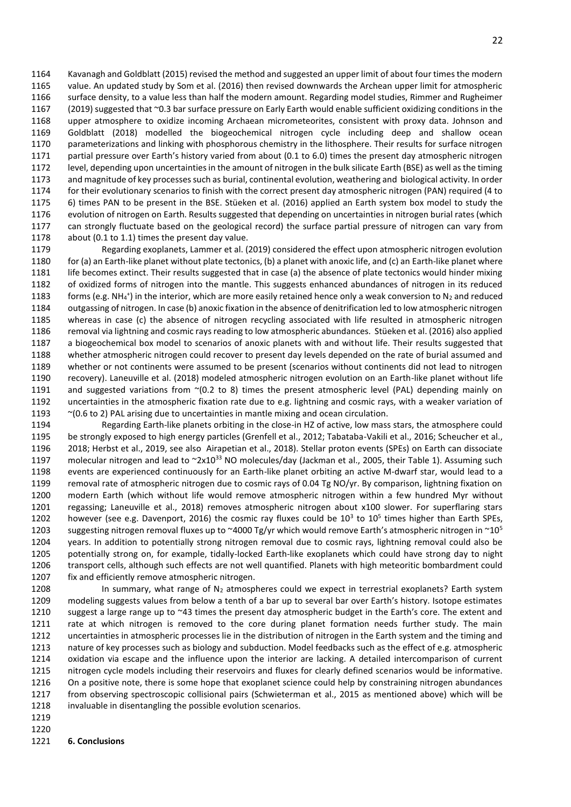Kavanagh and Goldblatt (2015) revised the method and suggested an upper limit of about four times the modern value. An updated study by Som et al. (2016) then revised downwards the Archean upper limit for atmospheric surface density, to a value less than half the modern amount. Regarding model studies, Rimmer and Rugheimer (2019) suggested that ~0.3 bar surface pressure on Early Earth would enable sufficient oxidizing conditions in the upper atmosphere to oxidize incoming Archaean micrometeorites, consistent with proxy data. Johnson and Goldblatt (2018) modelled the biogeochemical nitrogen cycle including deep and shallow ocean parameterizations and linking with phosphorous chemistry in the lithosphere. Their results for surface nitrogen partial pressure over Earth's history varied from about (0.1 to 6.0) times the present day atmospheric nitrogen level, depending upon uncertainties in the amount of nitrogen in the bulk silicate Earth (BSE) as well as the timing and magnitude of key processes such as burial, continental evolution, weathering and biological activity. In order for their evolutionary scenarios to finish with the correct present day atmospheric nitrogen (PAN) required (4 to 6) times PAN to be present in the BSE. Stüeken et al. (2016) applied an Earth system box model to study the evolution of nitrogen on Earth. Results suggested that depending on uncertainties in nitrogen burial rates (which can strongly fluctuate based on the geological record) the surface partial pressure of nitrogen can vary from about (0.1 to 1.1) times the present day value.

 Regarding exoplanets, Lammer et al. (2019) considered the effect upon atmospheric nitrogen evolution for (a) an Earth-like planet without plate tectonics, (b) a planet with anoxic life, and (c) an Earth-like planet where life becomes extinct. Their results suggested that in case (a) the absence of plate tectonics would hinder mixing of oxidized forms of nitrogen into the mantle. This suggests enhanced abundances of nitrogen in its reduced 1183 forms (e.g. NH<sub>4</sub><sup>+</sup>) in the interior, which are more easily retained hence only a weak conversion to N<sub>2</sub> and reduced outgassing of nitrogen. In case (b) anoxic fixation in the absence of denitrification led to low atmospheric nitrogen whereas in case (c) the absence of nitrogen recycling associated with life resulted in atmospheric nitrogen removal via lightning and cosmic rays reading to low atmospheric abundances. Stüeken et al. (2016) also applied a biogeochemical box model to scenarios of anoxic planets with and without life. Their results suggested that whether atmospheric nitrogen could recover to present day levels depended on the rate of burial assumed and whether or not continents were assumed to be present (scenarios without continents did not lead to nitrogen recovery). Laneuville et al. (2018) modeled atmospheric nitrogen evolution on an Earth-like planet without life and suggested variations from ~(0.2 to 8) times the present atmospheric level (PAL) depending mainly on uncertainties in the atmospheric fixation rate due to e.g. lightning and cosmic rays, with a weaker variation of ~(0.6 to 2) PAL arising due to uncertainties in mantle mixing and ocean circulation.

 Regarding Earth-like planets orbiting in the close-in HZ of active, low mass stars, the atmosphere could be strongly exposed to high energy particles (Grenfell et al., 2012; Tabataba-Vakili et al., 2016; Scheucher et al., 2018; Herbst et al., 2019, see also Airapetian et al., 2018). Stellar proton events (SPEs) on Earth can dissociate 1197 molecular nitrogen and lead to  $\approx 2 \times 10^{33}$  NO molecules/day (Jackman et al., 2005, their Table 1). Assuming such events are experienced continuously for an Earth-like planet orbiting an active M-dwarf star, would lead to a removal rate of atmospheric nitrogen due to cosmic rays of 0.04 Tg NO/yr. By comparison, lightning fixation on modern Earth (which without life would remove atmospheric nitrogen within a few hundred Myr without regassing; Laneuville et al., 2018) removes atmospheric nitrogen about x100 slower. For superflaring stars 1202 however (see e.g. Davenport, 2016) the cosmic ray fluxes could be  $10^3$  to  $10^5$  times higher than Earth SPEs, 1203 suggesting nitrogen removal fluxes up to ~4000 Tg/yr which would remove Earth's atmospheric nitrogen in ~10<sup>5</sup> years. In addition to potentially strong nitrogen removal due to cosmic rays, lightning removal could also be potentially strong on, for example, tidally-locked Earth-like exoplanets which could have strong day to night transport cells, although such effects are not well quantified. Planets with high meteoritic bombardment could fix and efficiently remove atmospheric nitrogen.

1208 In summary, what range of  $N_2$  atmospheres could we expect in terrestrial exoplanets? Earth system modeling suggests values from below a tenth of a bar up to several bar over Earth's history. Isotope estimates 1210 suggest a large range up to ~43 times the present day atmospheric budget in the Earth's core. The extent and 1211 rate at which nitrogen is removed to the core during planet formation needs further study. The main uncertainties in atmospheric processes lie in the distribution of nitrogen in the Earth system and the timing and nature of key processes such as biology and subduction. Model feedbacks such as the effect of e.g. atmospheric oxidation via escape and the influence upon the interior are lacking. A detailed intercomparison of current nitrogen cycle models including their reservoirs and fluxes for clearly defined scenarios would be informative. On a positive note, there is some hope that exoplanet science could help by constraining nitrogen abundances from observing spectroscopic collisional pairs (Schwieterman et al., 2015 as mentioned above) which will be invaluable in disentangling the possible evolution scenarios.

 

**6. Conclusions**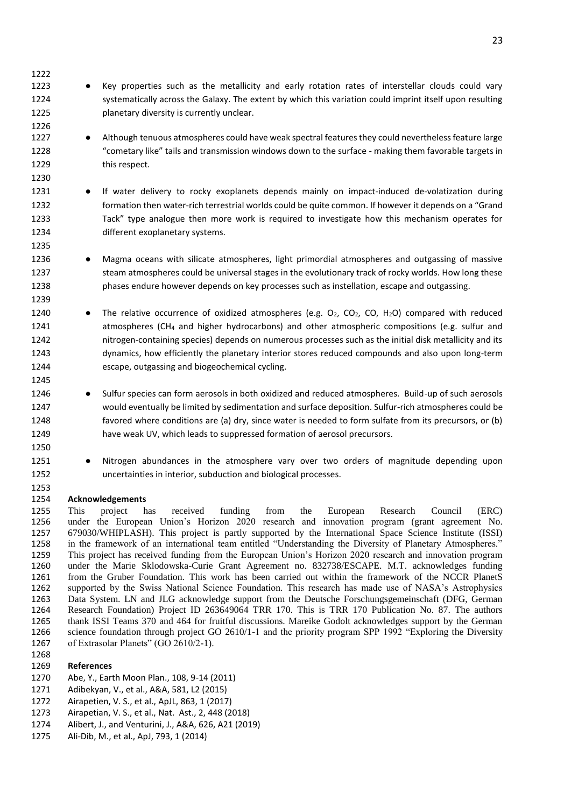- 1223 Key properties such as the metallicity and early rotation rates of interstellar clouds could vary systematically across the Galaxy. The extent by which this variation could imprint itself upon resulting planetary diversity is currently unclear.
- 1227 Although tenuous atmospheres could have weak spectral features they could nevertheless feature large "cometary like" tails and transmission windows down to the surface - making them favorable targets in this respect.
- 1231 If water delivery to rocky exoplanets depends mainly on impact-induced de-volatization during formation then water-rich terrestrial worlds could be quite common. If however it depends on a "Grand Tack" type analogue then more work is required to investigate how this mechanism operates for different exoplanetary systems.
- 1236 Magma oceans with silicate atmospheres, light primordial atmospheres and outgassing of massive 1237 steam atmospheres could be universal stages in the evolutionary track of rocky worlds. How long these phases endure however depends on key processes such as instellation, escape and outgassing.
- 1240 The relative occurrence of oxidized atmospheres (e.g. O<sub>2</sub>, CO<sub>2</sub>, CO<sub>1</sub>, H<sub>2</sub>O) compared with reduced atmospheres (CH<sup>4</sup> and higher hydrocarbons) and other atmospheric compositions (e.g. sulfur and nitrogen-containing species) depends on numerous processes such as the initial disk metallicity and its dynamics, how efficiently the planetary interior stores reduced compounds and also upon long-term escape, outgassing and biogeochemical cycling.
- 1246 Sulfur species can form aerosols in both oxidized and reduced atmospheres. Build-up of such aerosols would eventually be limited by sedimentation and surface deposition. Sulfur-rich atmospheres could be favored where conditions are (a) dry, since water is needed to form sulfate from its precursors, or (b) have weak UV, which leads to suppressed formation of aerosol precursors.
- 

1251 • Nitrogen abundances in the atmosphere vary over two orders of magnitude depending upon uncertainties in interior, subduction and biological processes.

## **Acknowledgements**

 This project has received funding from the European Research Council (ERC) under the European Union's Horizon 2020 research and innovation program (grant agreement No. 679030/WHIPLASH). This project is partly supported by the International Space Science Institute (ISSI) in the framework of an international team entitled "Understanding the Diversity of Planetary Atmospheres." This project has received funding from the European Union's Horizon 2020 research and innovation program under the Marie Sklodowska-Curie Grant Agreement no. 832738/ESCAPE. M.T. acknowledges funding from the Gruber Foundation. This work has been carried out within the framework of the NCCR PlanetS supported by the Swiss National Science Foundation. This research has made use of NASA's Astrophysics Data System. LN and JLG acknowledge support from the Deutsche Forschungsgemeinschaft (DFG, German Research Foundation) Project ID 263649064 TRR 170. This is TRR 170 Publication No. 87. The authors thank ISSI Teams 370 and 464 for fruitful discussions. Mareike Godolt acknowledges support by the German science foundation through project GO 2610/1-1 and the priority program SPP 1992 "Exploring the Diversity of Extrasolar Planets" (GO 2610/2-1). 

## **References**

- Abe, Y., Earth Moon Plan., 108, 9-14 (2011)
- Adibekyan, V., et al., A&A, 581, L2 (2015)
- Airapetien, V. S., et al., ApJL, 863, 1 (2017)
- Airapetian, V. S., et al., Nat. Ast., 2, 448 (2018)
- Alibert, J., and Venturini, J., A&A, 626, A21 (2019)
- Ali-Dib, M., et al., ApJ, 793, 1 (2014)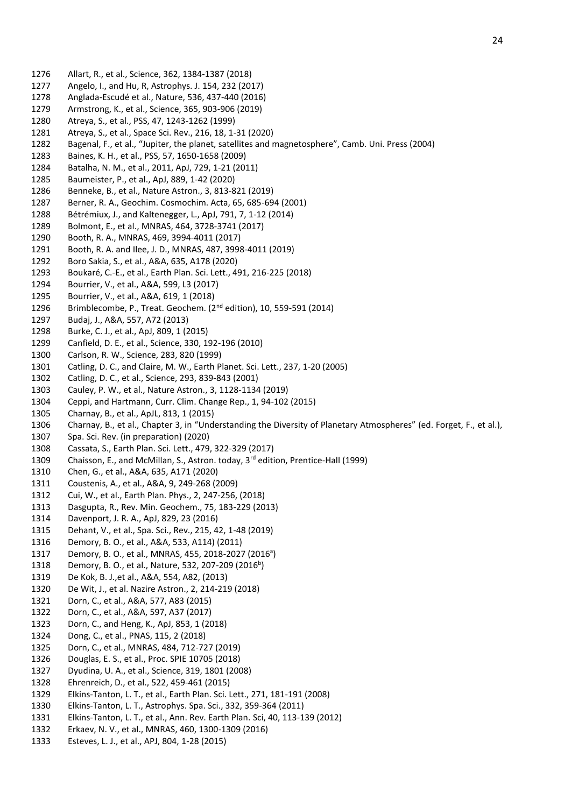- Allart, R., et al., Science, 362, 1384-1387 (2018)
- Angelo, I., and Hu, R, Astrophys. J. 154, 232 (2017)
- Anglada-Escudé et al., Nature, 536, 437-440 (2016)
- Armstrong, K., et al., Science, 365, 903-906 (2019)
- Atreya, S., et al., PSS, 47, 1243-1262 (1999)
- Atreya, S., et al., Space Sci. Rev., 216, 18, 1-31 (2020)
- Bagenal, F., et al., "Jupiter, the planet, satellites and magnetosphere", Camb. Uni. Press (2004)
- Baines, K. H., et al., PSS, 57, 1650-1658 (2009)
- Batalha, N. M., et al., 2011, ApJ, 729, 1-21 (2011)
- Baumeister, P., et al., ApJ, 889, 1-42 (2020)
- Benneke, B., et al., Nature Astron., 3, 813-821 (2019)
- Berner, R. A., Geochim. Cosmochim. Acta, 65, 685-694 (2001)
- Bétrémiux, J., and Kaltenegger, L., ApJ, 791, 7, 1-12 (2014)
- Bolmont, E., et al., MNRAS, 464, 3728-3741 (2017)
- Booth, R. A., MNRAS, 469, 3994-4011 (2017)
- Booth, R. A. and Ilee, J. D., MNRAS, 487, 3998-4011 (2019)
- Boro Sakia, S., et al., A&A, 635, A178 (2020)
- Boukaré, C.-E., et al., Earth Plan. Sci. Lett., 491, 216-225 (2018)
- Bourrier, V., et al., A&A, 599, L3 (2017)
- Bourrier, V., et al., A&A, 619, 1 (2018)
- 1296 Brimblecombe, P., Treat. Geochem. (2<sup>nd</sup> edition), 10, 559-591 (2014)
- Budaj, J., A&A, 557, A72 (2013)
- Burke, C. J., et al., ApJ, 809, 1 (2015)
- Canfield, D. E., et al., Science, 330, 192-196 (2010)
- Carlson, R. W., Science, 283, 820 (1999)
- Catling, D. C., and Claire, M. W., Earth Planet. Sci. Lett., 237, 1-20 (2005)
- Catling, D. C., et al., Science, 293, 839-843 (2001)
- Cauley, P. W., et al., Nature Astron., 3, 1128-1134 (2019)
- Ceppi, and Hartmann, Curr. Clim. Change Rep., 1, 94-102 (2015)
- Charnay, B., et al., ApJL, 813, 1 (2015)
- Charnay, B., et al., Chapter 3, in "Understanding the Diversity of Planetary Atmospheres" (ed. Forget, F., et al.),
- Spa. Sci. Rev. (in preparation) (2020)
- Cassata, S., Earth Plan. Sci. Lett., 479, 322-329 (2017)
- 1309 Chaisson, E., and McMillan, S., Astron. today, 3<sup>rd</sup> edition, Prentice-Hall (1999)
- Chen, G., et al., A&A, 635, A171 (2020)
- Coustenis, A., et al., A&A, 9, 249-268 (2009)
- Cui, W., et al., Earth Plan. Phys., 2, 247-256, (2018)
- Dasgupta, R., Rev. Min. Geochem., 75, 183-229 (2013)
- Davenport, J. R. A., ApJ, 829, 23 (2016)
- Dehant, V., et al., Spa. Sci., Rev., 215, 42, 1-48 (2019)
- Demory, B. O., et al., A&A, 533, A114) (2011)
- 1317 Demory, B. O., et al., MNRAS, 455, 2018-2027 (2016<sup>a</sup>)
- 1318 Demory, B. O., et al., Nature, 532, 207-209 (2016<sup>b</sup>)
- De Kok, B. J.,et al., A&A, 554, A82, (2013)
- De Wit, J., et al. Nazire Astron., 2, 214-219 (2018)
- Dorn, C., et al., A&A, 577, A83 (2015)
- Dorn, C., et al., A&A, 597, A37 (2017)
- Dorn, C., and Heng, K., ApJ, 853, 1 (2018)
- Dong, C., et al., PNAS, 115, 2 (2018)
- Dorn, C., et al., MNRAS, 484, 712-727 (2019)
- Douglas, E. S., et al., Proc. SPIE 10705 (2018)
- Dyudina, U. A., et al., Science, 319, 1801 (2008)
- Ehrenreich, D., et al., 522, 459-461 (2015)
- Elkins-Tanton, L. T., et al., Earth Plan. Sci. Lett., 271, 181-191 (2008)
- Elkins-Tanton, L. T., Astrophys. Spa. Sci., 332, 359-364 (2011)
- Elkins-Tanton, L. T., et al., Ann. Rev. Earth Plan. Sci, 40, 113-139 (2012)
- Erkaev, N. V., et al., MNRAS, 460, 1300-1309 (2016)
- Esteves, L. J., et al., APJ, 804, 1-28 (2015)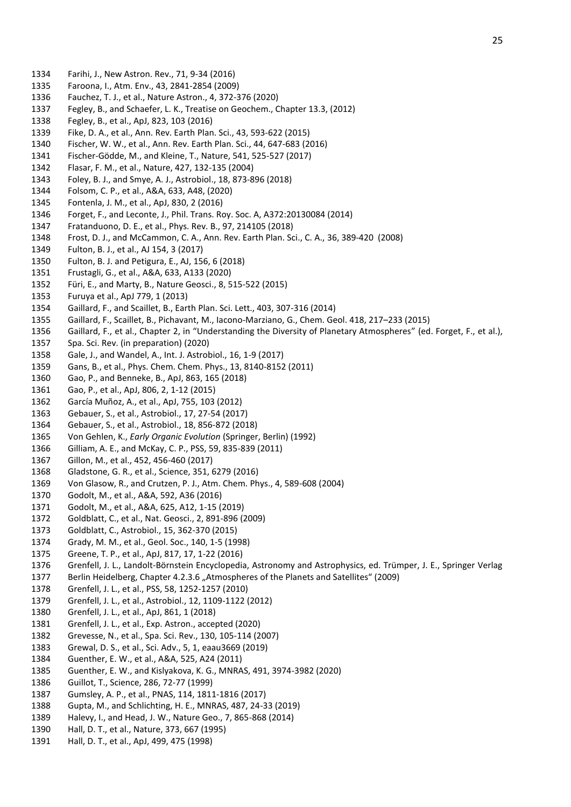- Farihi, J., New Astron. Rev., 71, 9-34 (2016)
- Faroona, I., Atm. Env., 43, 2841-2854 (2009)
- Fauchez, T. J., et al., Nature Astron., 4, 372-376 (2020)
- Fegley, B., and Schaefer, L. K., Treatise on Geochem., Chapter 13.3, (2012)
- Fegley, B., et al., ApJ, 823, 103 (2016)
- Fike, D. A., et al., Ann. Rev. Earth Plan. Sci., 43, 593-622 (2015)
- Fischer, W. W., et al., Ann. Rev. Earth Plan. Sci., 44, 647-683 (2016)
- Fischer-Gödde, M., and Kleine, T., Nature, 541, 525-527 (2017)
- Flasar, F. M., et al., Nature, 427, 132-135 (2004)
- Foley, B. J., and Smye, A. J., Astrobiol., 18, 873-896 (2018)
- Folsom, C. P., et al., A&A, 633, A48, (2020)
- Fontenla, J. M., et al., ApJ, 830, 2 (2016)
- Forget, F., and Leconte, J., Phil. Trans. Roy. Soc. A, A372:20130084 (2014)
- Fratanduono, D. E., et al., Phys. Rev. B., 97, 214105 (2018)
- Frost, D. J., and McCammon, C. A., Ann. Rev. Earth Plan. Sci., C. A., 36, 389-420 (2008)
- Fulton, B. J., et al., AJ 154, 3 (2017)
- Fulton, B. J. and Petigura, E., AJ, 156, 6 (2018)
- Frustagli, G., et al., A&A, 633, A133 (2020)
- Füri, E., and Marty, B., Nature Geosci., 8, 515-522 (2015)
- Furuya et al., ApJ 779, 1 (2013)
- Gaillard, F., and Scaillet, B., Earth Plan. Sci. Lett., 403, 307-316 (2014)
- Gaillard, F., Scaillet, B., Pichavant, M., Iacono-Marziano, G., Chem. Geol. 418, 217–233 (2015)
- Gaillard, F., et al., Chapter 2, in "Understanding the Diversity of Planetary Atmospheres" (ed. Forget, F., et al.),
- Spa. Sci. Rev. (in preparation) (2020)
- Gale, J., and Wandel, A., Int. J. Astrobiol., 16, 1-9 (2017)
- Gans, B., et al., Phys. Chem. Chem. Phys., 13, 8140-8152 (2011)
- Gao, P., and Benneke, B., ApJ, 863, 165 (2018)
- Gao, P., et al., ApJ, 806, 2, 1-12 (2015)
- García Muñoz, A., et al., ApJ, 755, 103 (2012)
- Gebauer, S., et al., Astrobiol., 17, 27-54 (2017)
- Gebauer, S., et al., Astrobiol., 18, 856-872 (2018)
- Von Gehlen, K., *Early Organic Evolution* (Springer, Berlin) (1992)
- Gilliam, A. E., and McKay, C. P., PSS, 59, 835-839 (2011)
- Gillon, M., et al., 452, 456-460 (2017)
- Gladstone, G. R., et al., Science, 351, 6279 (2016)
- Von Glasow, R., and Crutzen, P. J., Atm. Chem. Phys., 4, 589-608 (2004)
- Godolt, M., et al., A&A, 592, A36 (2016)
- Godolt, M., et al., A&A, 625, A12, 1-15 (2019)
- Goldblatt, C., et al., Nat. Geosci., 2, 891-896 (2009)
- Goldblatt, C., Astrobiol., 15, 362-370 (2015)
- Grady, M. M., et al., Geol. Soc., 140, 1-5 (1998)
- Greene, T. P., et al., ApJ, 817, 17, 1-22 (2016)
- Grenfell, J. L., Landolt-Börnstein Encyclopedia, Astronomy and Astrophysics, ed. Trümper, J. E., Springer Verlag
- 1377 Berlin Heidelberg, Chapter 4.2.3.6 "Atmospheres of the Planets and Satellites" (2009)
- Grenfell, J. L., et al., PSS, 58, 1252-1257 (2010)
- Grenfell, J. L., et al., Astrobiol., 12, 1109-1122 (2012)
- Grenfell, J. L., et al., ApJ, 861, 1 (2018)
- Grenfell, J. L., et al., Exp. Astron., accepted (2020)
- Grevesse, N., et al., Spa. Sci. Rev., 130, 105-114 (2007)
- Grewal, D. S., et al., Sci. Adv., 5, 1, eaau3669 (2019)
- Guenther, E. W., et al., A&A, 525, A24 (2011)
- Guenther, E. W., and Kislyakova, K. G., MNRAS, 491, 3974-3982 (2020)
- Guillot, T., Science, 286, 72-77 (1999)
- Gumsley, A. P., et al., PNAS, 114, 1811-1816 (2017)
- Gupta, M., and Schlichting, H. E., MNRAS, 487, 24-33 (2019)
- Halevy, I., and Head, J. W., Nature Geo., 7, 865-868 (2014)
- Hall, D. T., et al., Nature, 373, 667 (1995)
- Hall, D. T., et al., ApJ, 499, 475 (1998)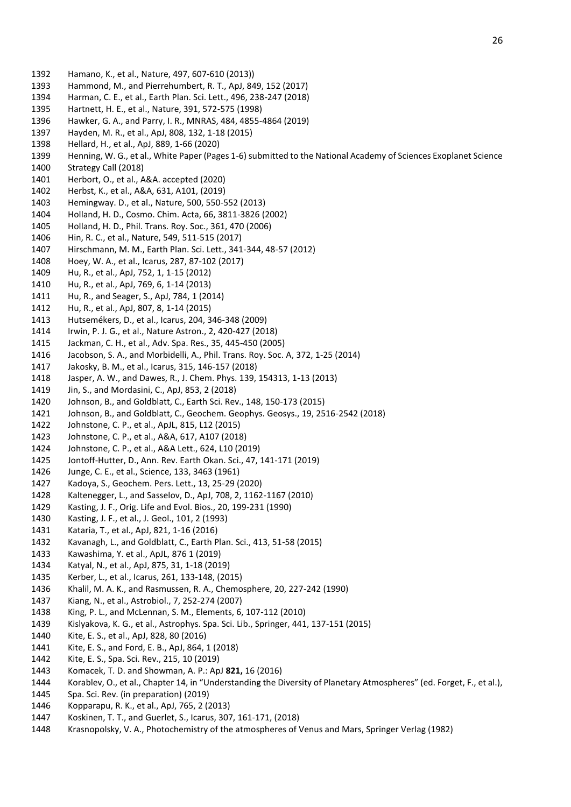- Hamano, K., et al., Nature, 497, 607-610 (2013))
- Hammond, M., and Pierrehumbert, R. T., ApJ, 849, 152 (2017)
- Harman, C. E., et al., Earth Plan. Sci. Lett., 496, 238-247 (2018)
- Hartnett, H. E., et al., Nature, 391, 572-575 (1998)
- Hawker, G. A., and Parry, I. R., MNRAS, 484, 4855-4864 (2019)
- Hayden, M. R., et al., ApJ, 808, 132, 1-18 (2015)
- Hellard, H., et al., ApJ, 889, 1-66 (2020)
- Henning, W. G., et al., White Paper (Pages 1-6) submitted to the National Academy of Sciences Exoplanet Science
- Strategy Call (2018)
- Herbort, O., et al., A&A. accepted (2020)
- Herbst, K., et al., A&A, 631, A101, (2019)
- Hemingway. D., et al., Nature, 500, 550-552 (2013)
- Holland, H. D., Cosmo. Chim. Acta, 66, 3811-3826 (2002)
- Holland, H. D., Phil. Trans. Roy. Soc., 361, 470 (2006)
- Hin, R. C., et al., Nature, 549, 511-515 (2017)
- Hirschmann, M. M., Earth Plan. Sci. Lett., 341-344, 48-57 (2012)
- Hoey, W. A., et al., Icarus, 287, 87-102 (2017)
- Hu, R., et al., ApJ, 752, 1, 1-15 (2012)
- Hu, R., et al., ApJ, 769, 6, 1-14 (2013)
- Hu, R., and Seager, S., ApJ, 784, 1 (2014)
- Hu, R., et al., ApJ, 807, 8, 1-14 (2015)
- Hutsemékers, D., et al., Icarus, 204, 346-348 (2009)
- Irwin, P. J. G., et al., Nature Astron., 2, 420-427 (2018)
- Jackman, C. H., et al., Adv. Spa. Res., 35, 445-450 (2005)
- Jacobson, S. A., and Morbidelli, A., Phil. Trans. Roy. Soc. A, 372, 1-25 (2014)
- Jakosky, B. M., et al., Icarus, 315, 146-157 (2018)
- Jasper, A. W., and Dawes, R., J. Chem. Phys. 139, 154313, 1-13 (2013)
- Jin, S., and Mordasini, C., ApJ, 853, 2 (2018)
- Johnson, B., and Goldblatt, C., Earth Sci. Rev., 148, 150-173 (2015)
- Johnson, B., and Goldblatt, C., Geochem. Geophys. Geosys., 19, 2516-2542 (2018)
- Johnstone, C. P., et al., ApJL, 815, L12 (2015)
- Johnstone, C. P., et al., A&A, 617, A107 (2018)
- Johnstone, C. P., et al., A&A Lett., 624, L10 (2019)
- Jontoff-Hutter, D., Ann. Rev. Earth Okan. Sci., 47, 141-171 (2019)
- Junge, C. E., et al., Science, 133, 3463 (1961)
- Kadoya, S., Geochem. Pers. Lett., 13, 25-29 (2020)
- Kaltenegger, L., and Sasselov, D., ApJ, 708, 2, 1162-1167 (2010)
- Kasting, J. F., Orig. Life and Evol. Bios., 20, 199-231 (1990)
- Kasting, J. F., et al., J. Geol., 101, 2 (1993)
- Kataria, T., et al., ApJ, 821, 1-16 (2016)
- Kavanagh, L., and Goldblatt, C., Earth Plan. Sci., 413, 51-58 (2015)
- Kawashima, Y. et al., ApJL, 876 1 (2019)
- Katyal, N., et al., ApJ, 875, 31, 1-18 (2019)
- Kerber, L., et al., Icarus, 261, 133-148, (2015)
- Khalil, M. A. K., and Rasmussen, R. A., Chemosphere, 20, 227-242 (1990)
- Kiang, N., et al., Astrobiol., 7, 252-274 (2007)
- King, P. L., and McLennan, S. M., Elements, 6, 107-112 (2010)
- Kislyakova, K. G., et al., Astrophys. Spa. Sci. Lib., Springer, 441, 137-151 (2015)
- Kite, E. S., et al., ApJ, 828, 80 (2016)
- Kite, E. S., and Ford, E. B., ApJ, 864, 1 (2018)
- Kite, E. S., Spa. Sci. Rev., 215, 10 (2019)
- Komacek, T. D. and Showman, A. P.: ApJ **821,** 16 (2016)
- Korablev, O., et al., Chapter 14, in "Understanding the Diversity of Planetary Atmospheres" (ed. Forget, F., et al.),
- Spa. Sci. Rev. (in preparation) (2019)
- Kopparapu, R. K., et al., ApJ, 765, 2 (2013)
- Koskinen, T. T., and Guerlet, S., Icarus, 307, 161-171, (2018)
- Krasnopolsky, V. A., Photochemistry of the atmospheres of Venus and Mars, Springer Verlag (1982)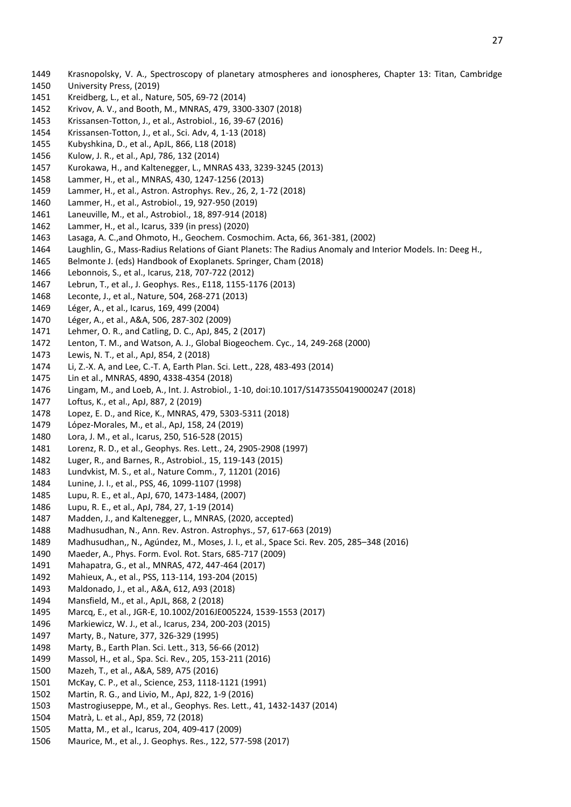- Krasnopolsky, V. A., Spectroscopy of planetary atmospheres and ionospheres, Chapter 13: Titan, Cambridge
- University Press, (2019)
- Kreidberg, L., et al., Nature, 505, 69-72 (2014)
- Krivov, A. V., and Booth, M., MNRAS, 479, 3300-3307 (2018)
- Krissansen-Totton, J., et al., Astrobiol., 16, 39-67 (2016)
- Krissansen-Totton, J., et al., Sci. Adv, 4, 1-13 (2018)
- Kubyshkina, D., et al., ApJL, 866, L18 (2018)
- Kulow, J. R., et al., ApJ, 786, 132 (2014)
- Kurokawa, H., and Kaltenegger, L., MNRAS 433, 3239-3245 (2013)
- Lammer, H., et al., MNRAS, 430, 1247-1256 (2013)
- Lammer, H., et al., Astron. Astrophys. Rev., 26, 2, 1-72 (2018)
- Lammer, H., et al., Astrobiol., 19, 927-950 (2019)
- Laneuville, M., et al., Astrobiol., 18, 897-914 (2018)
- Lammer, H., et al., Icarus, 339 (in press) (2020)
- Lasaga, A. C.,and Ohmoto, H., Geochem. Cosmochim. Acta, 66, 361-381, (2002)
- Laughlin, G., Mass-Radius Relations of Giant Planets: The Radius Anomaly and Interior Models. In: Deeg H.,
- Belmonte J. (eds) Handbook of Exoplanets. Springer, Cham (2018)
- Lebonnois, S., et al., Icarus, 218, 707-722 (2012)
- Lebrun, T., et al., J. Geophys. Res., E118, 1155-1176 (2013)
- Leconte, J., et al., Nature, 504, 268-271 (2013)
- Léger, A., et al., Icarus, 169, 499 (2004)
- Léger, A., et al., A&A, 506, 287-302 (2009)
- Lehmer, O. R., and Catling, D. C., ApJ, 845, 2 (2017)
- Lenton, T. M., and Watson, A. J., Global Biogeochem. Cyc., 14, 249-268 (2000)
- Lewis, N. T., et al., ApJ, 854, 2 (2018)
- Li, Z.-X. A, and Lee, C.-T. A, Earth Plan. Sci. Lett., 228, 483-493 (2014)
- Lin et al., MNRAS, 4890, 4338-4354 (2018)
- Lingam, M., and Loeb, A., Int. J. Astrobiol., 1-10, doi:10.1017/S1473550419000247 (2018)
- Loftus, K., et al., ApJ, 887, 2 (2019)
- Lopez, E. D., and Rice, K., MNRAS, 479, 5303-5311 (2018)
- Lόpez-Morales, M., et al., ApJ, 158, 24 (2019)
- Lora, J. M., et al., Icarus, 250, 516-528 (2015)
- Lorenz, R. D., et al., Geophys. Res. Lett., 24, 2905-2908 (1997)
- Luger, R., and Barnes, R., Astrobiol., 15, 119-143 (2015)
- Lundvkist, M. S., et al., Nature Comm., 7, 11201 (2016)
- Lunine, J. I., et al., PSS, 46, 1099-1107 (1998)
- Lupu, R. E., et al., ApJ, 670, 1473-1484, (2007)
- Lupu, R. E., et al., ApJ, 784, 27, 1-19 (2014)
- Madden, J., and Kaltenegger, L., MNRAS, (2020, accepted)
- Madhusudhan, N., Ann. Rev. Astron. Astrophys., 57, 617-663 (2019)
- Madhusudhan,, N., Agúndez, M., Moses, J. I., et al., Space Sci. Rev. 205, 285–348 (2016)
- Maeder, A., Phys. Form. Evol. Rot. Stars, 685-717 (2009)
- Mahapatra, G., et al., MNRAS, 472, 447-464 (2017)
- Mahieux, A., et al., PSS, 113-114, 193-204 (2015)
- Maldonado, J., et al., A&A, 612, A93 (2018)
- Mansfield, M., et al., ApJL, 868, 2 (2018)
- Marcq, E., et al., JGR-E, 10.1002/2016JE005224, 1539-1553 (2017)
- Markiewicz, W. J., et al., Icarus, 234, 200-203 (2015)
- Marty, B., Nature, 377, 326-329 (1995)
- Marty, B., Earth Plan. Sci. Lett., 313, 56-66 (2012)
- Massol, H., et al., Spa. Sci. Rev., 205, 153-211 (2016)
- Mazeh, T., et al., A&A, 589, A75 (2016)
- McKay, C. P., et al., Science, 253, 1118-1121 (1991)
- Martin, R. G., and Livio, M., ApJ, 822, 1-9 (2016)
- Mastrogiuseppe, M., et al., Geophys. Res. Lett., 41, 1432-1437 (2014)
- Matrà, L. et al., ApJ, 859, 72 (2018)
- Matta, M., et al., Icarus, 204, 409-417 (2009)
- Maurice, M., et al., J. Geophys. Res., 122, 577-598 (2017)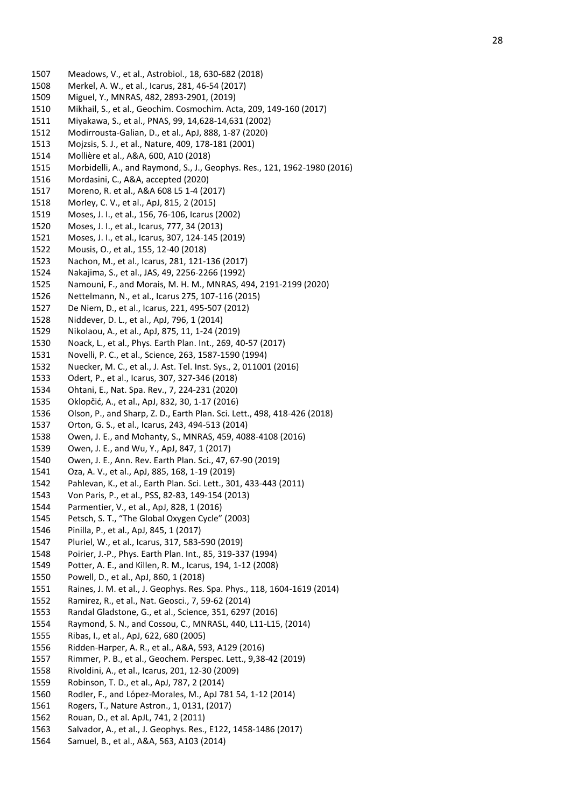- Meadows, V., et al., Astrobiol., 18, 630 -682 (2018)
- Merkel, A. W., et al., Icarus, 281, 46 -54 (2017)
- Miguel, Y., MNRAS, 482, 2893 -2901, (2019)
- Mikhail, S., et al., Geochim. Cosmochim. Acta, 209, 149 -160 (2017)
- Miyakawa, S., et al., PNAS, 99, 14,628 -14,631 (2002)
- Modirrousta -Galian, D., et al., ApJ, 888, 1 -87 (2020)
- Mojzsis, S. J., et al., Nature, 409, 178 -181 (2001)
- Mollière et al., A&A, 600, A10 (2018)
- Morbidelli, A., and Raymond, S., J., Geophys. Res., 121, 1962 -1980 (2016)
- Mordasini, C., A&A, accepted (2020)
- Moreno, R. et al., A&A 608 L5 1 -4 (2017)
- Morley, C. V., et al., ApJ, 815, 2 (2015)
- Moses, J. I., et al., 156, 76 -106, Icarus (2002)
- Moses, J. I., et al., Icarus, 777, 34 (2013)
- Moses, J. I., et al., Icarus, 307, 124 -145 (2019)
- Mousis, O., et al., 155, 12 -40 (2018)
- Nachon, M., et al., Icarus, 281, 121 -136 (2017)
- Nakajima, S., et al., JAS, 49, 2256 -2266 (1992)
- Namouni, F., and Morais, M. H. M., MNRAS, 494, 2191 -2199 (2020)
- Nettelmann, N., et al., Icarus 275, 107 -116 (2015)
- De Niem, D., et al., Icarus, 221, 495 -507 (2012)
- Niddever, D. L., et al., ApJ, 796, 1 (2014)
- Nikolaou, A., et al., ApJ, 875, 11, 1 -24 (2019)
- Noack, L., et al., Phys. Earth Plan. Int., 269, 40 -57 (2017)
- Novelli, P. C., et al., Science, 263, 1587 -1590 (1994)
- Nuecker, M. C., et al., J. Ast. Tel. Inst. Sys., 2, 011001 (2016)
- Odert, P., et al., Icarus, 307, 327 -346 (2018)
- Ohtani, E., Nat. Spa. Rev., 7, 224 -231 (2020)
- Oklopčić, A., et al., ApJ, 832, 30, 1 -17 (2016)
- Olson, P., and Sharp, Z. D., Earth Plan. Sci. Lett., 498, 418 -426 (2018)
- Orton, G. S., et al., Icarus, 243, 494 -513 (2014)
- Owen, J. E., and Mohanty, S., MNRAS, 459, 4088 -4108 (2016)
- Owen, J. E., and Wu, Y., ApJ, 847, 1 (2017)
- Owen, J. E., Ann. Rev. Earth Plan. Sci., 47, 67 -90 (2019)
- Oza, A. V., et al., ApJ, 885, 168, 1 -19 (2019)
- Pahlevan, K., et al., Earth Plan. Sci. Lett., 301, 433 -443 (2011)
- Von Paris, P., et al., PSS, 82 -83, 149 -154 (2013)
- Parmentier, V., et al., ApJ, 828, 1 (2016)
- Petsch, S. T., "The Global Oxygen Cycle" (2003)
- Pinilla, P., et al., ApJ, 845, 1 (2017)
- Pluriel, W., et al., Icarus, 317, 583 -590 (2019)
- Poirier, J. -P., Phys. Earth Plan. Int., 85, 319 -337 (1994)
- Potter, A. E., and Killen, R. M., Icarus, 194, 1 -12 (2008)
- Powell, D., et al., ApJ, 860, 1 (2018)
- Raines, J. M. et al., J. Geophys. Res. Spa. Phys., 118, 1604 -1619 (2014)
- Ramirez, R., et al., Nat. Geosci., 7, 59 -62 (2014)
- Randal Gladstone, G., et al., Science, 351, 6297 (2016)
- Raymond, S. N., and Cossou, C., MNRASL, 440, L11 -L15, (2014)
- Ribas, I., et al., ApJ, 622, 680 (2005)
- Ridden -Harper, A. R., et al., A&A, 593, A129 (2016)
- Rimmer, P. B., et al., Geochem. Perspec. Lett., 9,38 -42 (2019)
- Rivoldini, A., et al., Icarus, 201, 12 -30 (2009)
- Robinson, T. D., et al., ApJ, 787, 2 (2014)
- Rodler, F., and Lόpez -Morales, M., ApJ 781 54, 1 -12 (2014)
- Rogers, T., Nature Astron., 1, 0131, (2017)
- Rouan, D., et al. ApJL, 741, 2 (2011)
- Salvador, A., et al., J. Geophys. Res., E122, 1458 -1486 (2017)
- Samuel, B., et al., A&A, 563, A103 (2014)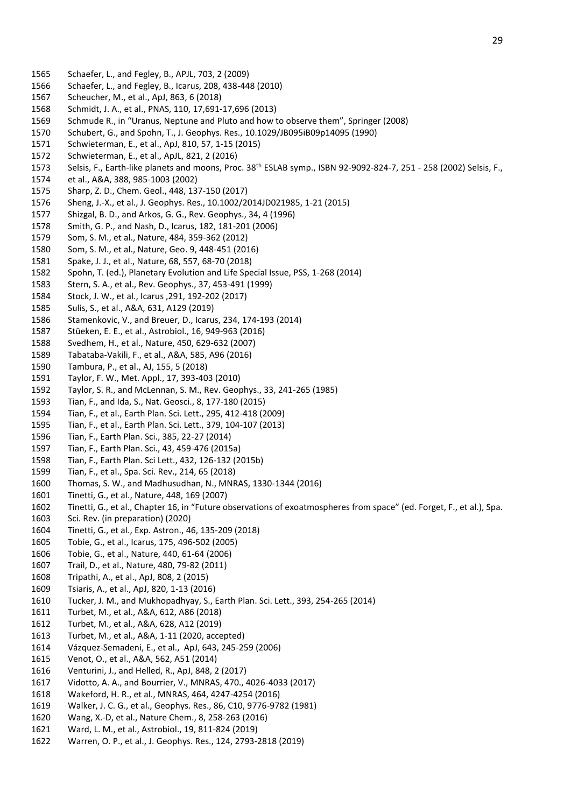- Schaefer, L., and Fegley, B., APJL, 703, 2 (2009)
- Schaefer, L., and Fegley, B., Icarus, 208, 438-448 (2010)
- Scheucher, M., et al., ApJ, 863, 6 (2018)
- Schmidt, J. A., et al., PNAS, 110, 17,691-17,696 (2013)
- Schmude R., in "Uranus, Neptune and Pluto and how to observe them", Springer (2008)
- Schubert, G., and Spohn, T., J. Geophys. Res.[, 10.1029/JB095iB09p14095](https://doi.org/10.1029/JB095iB09p14095) (1990)
- Schwieterman, E., et al., ApJ, 810, 57, 1-15 (2015)
- Schwieterman, E., et al., ApJL, 821, 2 (2016)
- 1573 Selsis, F., Earth-like planets and moons, Proc. 38<sup>th</sup> ESLAB symp., ISBN 92-9092-824-7, 251 258 (2002) Selsis, F.,
- et al., A&A, 388, 985-1003 (2002)
- Sharp, Z. D., Chem. Geol., 448, 137-150 (2017)
- Sheng, J.-X., et al., J. Geophys. Res., 10.1002/2014JD021985, 1-21 (2015)
- Shizgal, B. D., and Arkos, G. G., Rev. Geophys., 34, 4 (1996)
- Smith, G. P., and Nash, D., Icarus, 182, 181-201 (2006)
- Som, S. M., et al., Nature, 484, 359-362 (2012)
- Som, S. M., et al., Nature, Geo. 9, 448-451 (2016)
- Spake, J. J., et al., Nature, 68, 557, 68-70 (2018)
- Spohn, T. (ed.), Planetary Evolution and Life Special Issue, PSS, 1-268 (2014)
- Stern, S. A., et al., Rev. Geophys., 37, 453-491 (1999)
- Stock, J. W., et al., Icarus ,291, 192-202 (2017)
- Sulis, S., et al., A&A, 631, A129 (2019)
- Stamenkovic, V., and Breuer, D., Icarus, 234, 174-193 (2014)
- Stüeken, E. E., et al., Astrobiol., 16, 949-963 (2016)
- Svedhem, H., et al., Nature, 450, 629-632 (2007)
- Tabataba-Vakili, F., et al., A&A, 585, A96 (2016)
- Tambura, P., et al., AJ, 155, 5 (2018)
- Taylor, F. W., Met. Appl., 17, 393-403 (2010)
- Taylor, S. R., and McLennan, S. M., Rev. Geophys., 33, 241-265 (1985)
- Tian, F., and Ida, S., Nat. Geosci., 8, 177-180 (2015)
- Tian, F., et al., Earth Plan. Sci. Lett., 295, 412-418 (2009)
- Tian, F., et al., Earth Plan. Sci. Lett., 379, 104-107 (2013)
- Tian, F., Earth Plan. Sci., 385, 22-27 (2014)
- Tian, F., Earth Plan. Sci., 43, 459-476 (2015a)
- Tian, F., Earth Plan. Sci Lett., 432, 126-132 (2015b)
- Tian, F., et al., Spa. Sci. Rev., 214, 65 (2018)
- Thomas, S. W., and Madhusudhan, N., MNRAS, 1330-1344 (2016)
- Tinetti, G., et al., Nature, 448, 169 (2007)
- Tinetti, G., et al., Chapter 16, in "Future observations of exoatmospheres from space" (ed. Forget, F., et al.), Spa.
- Sci. Rev. (in preparation) (2020)
- Tinetti, G., et al., Exp. Astron., 46, 135-209 (2018)
- Tobie, G., et al., Icarus, 175, 496-502 (2005)
- Tobie, G., et al., Nature, 440, 61-64 (2006)
- Trail, D., et al., Nature, 480, 79-82 (2011)
- Tripathi, A., et al., ApJ, 808, 2 (2015)
- Tsiaris, A., et al., ApJ, 820, 1-13 (2016)
- Tucker, J. M., and Mukhopadhyay, S., Earth Plan. Sci. Lett., 393, 254-265 (2014)
- Turbet, M., et al., A&A, 612, A86 (2018)
- Turbet, M., et al., A&A, 628, A12 (2019)
- Turbet, M., et al., A&A, 1-11 (2020, accepted)
- Vázquez-Semadeni, E., et al., ApJ, 643, 245-259 (2006)
- Venot, O., et al., A&A, 562, A51 (2014)
- Venturini, J., and Helled, R., ApJ, 848, 2 (2017)
- Vidotto, A. A., and Bourrier, V., MNRAS, 470., 4026-4033 (2017)
- Wakeford, H. R., et al., MNRAS, 464, 4247-4254 (2016)
- Walker, J. C. G., et al., Geophys. Res., 86, C10, 9776-9782 (1981)
- Wang, X.-D, et al., Nature Chem., 8, 258-263 (2016)
- Ward, L. M., et al., Astrobiol., 19, 811-824 (2019)
- Warren, O. P., et al., J. Geophys. Res., 124, 2793-2818 (2019)